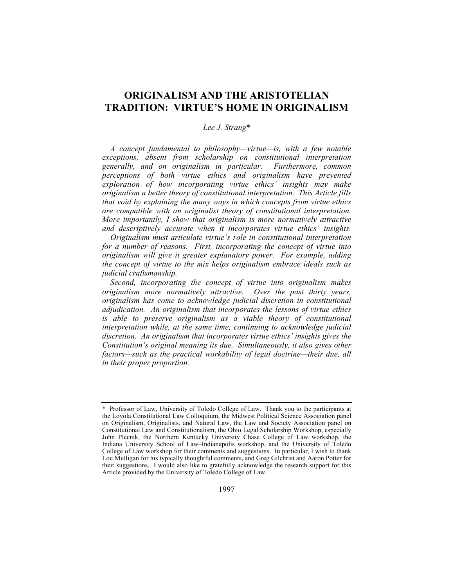# **ORIGINALISM AND THE ARISTOTELIAN TRADITION: VIRTUE'S HOME IN ORIGINALISM**

### *Lee J. Strang*\*

*A concept fundamental to philosophy—virtue—is, with a few notable exceptions, absent from scholarship on constitutional interpretation generally, and on originalism in particular. Furthermore, common perceptions of both virtue ethics and originalism have prevented exploration of how incorporating virtue ethics' insights may make originalism a better theory of constitutional interpretation. This Article fills that void by explaining the many ways in which concepts from virtue ethics are compatible with an originalist theory of constitutional interpretation. More importantly, I show that originalism is more normatively attractive and descriptively accurate when it incorporates virtue ethics' insights.* 

*Originalism must articulate virtue's role in constitutional interpretation for a number of reasons. First, incorporating the concept of virtue into originalism will give it greater explanatory power. For example, adding the concept of virtue to the mix helps originalism embrace ideals such as judicial craftsmanship.*

*Second, incorporating the concept of virtue into originalism makes originalism more normatively attractive. Over the past thirty years, originalism has come to acknowledge judicial discretion in constitutional adjudication. An originalism that incorporates the lessons of virtue ethics is able to preserve originalism as a viable theory of constitutional interpretation while, at the same time, continuing to acknowledge judicial discretion. An originalism that incorporates virtue ethics' insights gives the Constitution's original meaning its due. Simultaneously, it also gives other factors—such as the practical workability of legal doctrine—their due, all in their proper proportion.* 

<sup>\*</sup> Professor of Law, University of Toledo College of Law. Thank you to the participants at the Loyola Constitutional Law Colloquium, the Midwest Political Science Association panel on Originalism, Originalists, and Natural Law, the Law and Society Association panel on Constitutional Law and Constitutionalism, the Ohio Legal Scholarship Workshop, especially John Plecnik, the Northern Kentucky University Chase College of Law workshop, the Indiana University School of Law–Indianapolis workshop, and the University of Toledo College of Law workshop for their comments and suggestions. In particular, I wish to thank Lou Mulligan for his typically thoughtful comments, and Greg Gilchrist and Aaron Potter for their suggestions. I would also like to gratefully acknowledge the research support for this Article provided by the University of Toledo College of Law.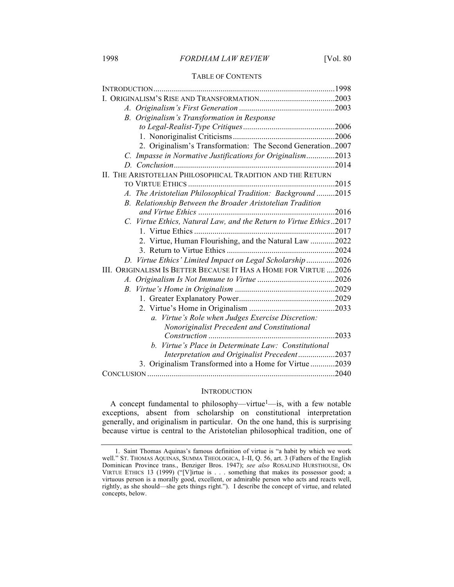#### TABLE OF CONTENTS

| B. Originalism's Transformation in Response                        |       |
|--------------------------------------------------------------------|-------|
|                                                                    |       |
|                                                                    | .2006 |
| 2. Originalism's Transformation: The Second Generation2007         |       |
| C. Impasse in Normative Justifications for Originalism             | 2013  |
|                                                                    | 2014  |
| II. THE ARISTOTELIAN PHILOSOPHICAL TRADITION AND THE RETURN        |       |
|                                                                    | .2015 |
| A. The Aristotelian Philosophical Tradition: Background 2015       |       |
| B. Relationship Between the Broader Aristotelian Tradition         |       |
|                                                                    |       |
| C. Virtue Ethics, Natural Law, and the Return to Virtue Ethics2017 |       |
|                                                                    |       |
| 2. Virtue, Human Flourishing, and the Natural Law 2022             |       |
|                                                                    |       |
| D. Virtue Ethics' Limited Impact on Legal Scholarship 2026         |       |
| III. ORIGINALISM IS BETTER BECAUSE IT HAS A HOME FOR VIRTUE  2026  |       |
|                                                                    |       |
|                                                                    |       |
|                                                                    |       |
|                                                                    |       |
| Virtue's Role when Judges Exercise Discretion:<br>$\mathfrak{a}$ . |       |
| Nonoriginalist Precedent and Constitutional                        |       |
|                                                                    | 2033  |
| Virtue's Place in Determinate Law: Constitutional<br>b.            |       |
| Interpretation and Originalist Precedent2037                       |       |
| 3. Originalism Transformed into a Home for Virtue 2039             |       |
|                                                                    |       |

#### **INTRODUCTION**

A concept fundamental to philosophy—virtue<sup>1</sup>—is, with a few notable exceptions, absent from scholarship on constitutional interpretation generally, and originalism in particular. On the one hand, this is surprising because virtue is central to the Aristotelian philosophical tradition, one of

<sup>1.</sup> Saint Thomas Aquinas's famous definition of virtue is "a habit by which we work well." ST. THOMAS AQUINAS, SUMMA THEOLOGICA, I–II, Q. 56, art. 3 (Fathers of the English Dominican Province trans., Benziger Bros. 1947); *see also* ROSALIND HURSTHOUSE, ON VIRTUE ETHICS 13 (1999) ("[V]irtue is . . . something that makes its possessor good; a virtuous person is a morally good, excellent, or admirable person who acts and reacts well, rightly, as she should—she gets things right."). I describe the concept of virtue, and related concepts, below.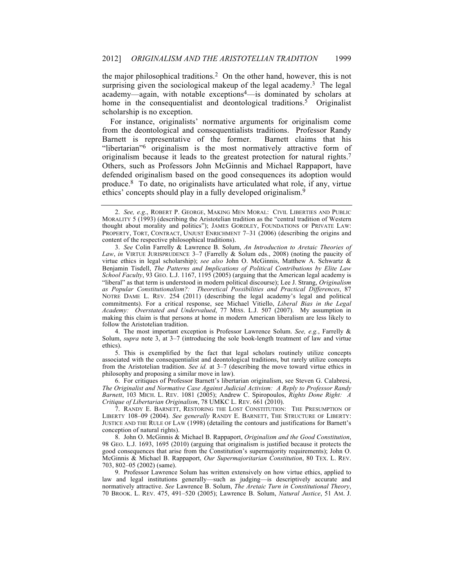the major philosophical traditions.2 On the other hand, however, this is not surprising given the sociological makeup of the legal academy.<sup>3</sup> The legal academy—again, with notable exceptions4—is dominated by scholars at home in the consequentialist and deontological traditions.<sup>5</sup> Originalist scholarship is no exception.

For instance, originalists' normative arguments for originalism come from the deontological and consequentialists traditions. Professor Randy Barnett is representative of the former. Barnett claims that his "libertarian"6 originalism is the most normatively attractive form of originalism because it leads to the greatest protection for natural rights.7 Others, such as Professors John McGinnis and Michael Rappaport, have defended originalism based on the good consequences its adoption would produce.8 To date, no originalists have articulated what role, if any, virtue ethics' concepts should play in a fully developed originalism.9

4. The most important exception is Professor Lawrence Solum. *See, e.g.*, Farrelly & Solum, *supra* note 3, at 3–7 (introducing the sole book-length treatment of law and virtue ethics).

5. This is exemplified by the fact that legal scholars routinely utilize concepts associated with the consequentialist and deontological traditions, but rarely utilize concepts from the Aristotelian tradition. *See id.* at 3–7 (describing the move toward virtue ethics in philosophy and proposing a similar move in law).

6. For critiques of Professor Barnett's libertarian originalism, see Steven G. Calabresi, *The Originalist and Normative Case Against Judicial Activism: A Reply to Professor Randy Barnett*, 103 MICH. L. REV. 1081 (2005); Andrew C. Spiropoulos, *Rights Done Right: A Critique of Libertarian Originalism*, 78 UMKC L. REV. 661 (2010).

7. RANDY E. BARNETT, RESTORING THE LOST CONSTITUTION: THE PRESUMPTION OF LIBERTY 108–09 (2004). *See generally* RANDY E. BARNETT, THE STRUCTURE OF LIBERTY: JUSTICE AND THE RULE OF LAW (1998) (detailing the contours and justifications for Barnett's conception of natural rights).

8. John O. McGinnis & Michael B. Rappaport, *Originalism and the Good Constitution*, 98 GEO. L.J. 1693, 1695 (2010) (arguing that originalism is justified because it protects the good consequences that arise from the Constitution's supermajority requirements); John O. McGinnis & Michael B. Rappaport, *Our Supermajoritarian Constitution*, 80 TEX. L. REV. 703, 802–05 (2002) (same).

9. Professor Lawrence Solum has written extensively on how virtue ethics, applied to law and legal institutions generally—such as judging—is descriptively accurate and normatively attractive. *See* Lawrence B. Solum, *The Aretaic Turn in Constitutional Theory*, 70 BROOK. L. REV. 475, 491–520 (2005); Lawrence B. Solum, *Natural Justice*, 51 AM. J.

<sup>2.</sup> *See, e.g*., ROBERT P. GEORGE, MAKING MEN MORAL: CIVIL LIBERTIES AND PUBLIC MORALITY 5 (1993) (describing the Aristotelian tradition as the "central tradition of Western thought about morality and politics"); JAMES GORDLEY, FOUNDATIONS OF PRIVATE LAW: PROPERTY, TORT, CONTRACT, UNJUST ENRICHMENT 7–31 (2006) (describing the origins and content of the respective philosophical traditions).

<sup>3.</sup> *See* Colin Farrelly & Lawrence B. Solum, *An Introduction to Aretaic Theories of Law*, *in* VIRTUE JURISPRUDENCE 3–7 (Farrelly & Solum eds., 2008) (noting the paucity of virtue ethics in legal scholarship); *see also* John O. McGinnis, Matthew A. Schwartz & Benjamin Tisdell, *The Patterns and Implications of Political Contributions by Elite Law School Faculty*, 93 GEO. L.J. 1167, 1195 (2005) (arguing that the American legal academy is "liberal" as that term is understood in modern political discourse); Lee J. Strang, *Originalism as Popular Constitutionalism?: Theoretical Possibilities and Practical Differences*, 87 NOTRE DAME L. REV. 254 (2011) (describing the legal academy's legal and political commitments). For a critical response, see Michael Vitiello, *Liberal Bias in the Legal Academy: Overstated and Undervalued*, 77 MISS. L.J. 507 (2007). My assumption in making this claim is that persons at home in modern American liberalism are less likely to follow the Aristotelian tradition.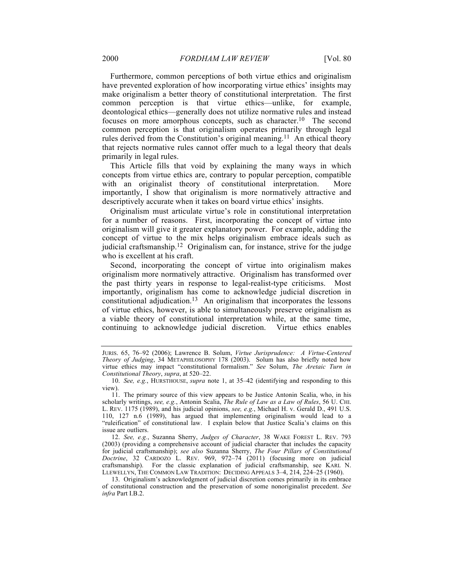Furthermore, common perceptions of both virtue ethics and originalism have prevented exploration of how incorporating virtue ethics' insights may make originalism a better theory of constitutional interpretation. The first common perception is that virtue ethics—unlike, for example, deontological ethics—generally does not utilize normative rules and instead focuses on more amorphous concepts, such as character.10 The second common perception is that originalism operates primarily through legal rules derived from the Constitution's original meaning.11 An ethical theory that rejects normative rules cannot offer much to a legal theory that deals primarily in legal rules.

This Article fills that void by explaining the many ways in which concepts from virtue ethics are, contrary to popular perception, compatible with an originalist theory of constitutional interpretation. More importantly, I show that originalism is more normatively attractive and descriptively accurate when it takes on board virtue ethics' insights.

Originalism must articulate virtue's role in constitutional interpretation for a number of reasons. First, incorporating the concept of virtue into originalism will give it greater explanatory power. For example, adding the concept of virtue to the mix helps originalism embrace ideals such as judicial craftsmanship.<sup>12</sup> Originalism can, for instance, strive for the judge who is excellent at his craft.

Second, incorporating the concept of virtue into originalism makes originalism more normatively attractive. Originalism has transformed over the past thirty years in response to legal-realist-type criticisms. Most importantly, originalism has come to acknowledge judicial discretion in constitutional adjudication.13 An originalism that incorporates the lessons of virtue ethics, however, is able to simultaneously preserve originalism as a viable theory of constitutional interpretation while, at the same time, continuing to acknowledge judicial discretion. Virtue ethics enables

JURIS. 65, 76–92 (2006); Lawrence B. Solum, *Virtue Jurisprudence: A Virtue-Centered Theory of Judging*, 34 METAPHILOSOPHY 178 (2003). Solum has also briefly noted how virtue ethics may impact "constitutional formalism." *See* Solum, *The Aretaic Turn in Constitutional Theory*, *supra*, at 520–22.

<sup>10.</sup> *See, e.g.*, HURSTHOUSE, *supra* note 1, at 35–42 (identifying and responding to this view).

<sup>11.</sup> The primary source of this view appears to be Justice Antonin Scalia, who, in his scholarly writings, *see, e.g.*, Antonin Scalia, *The Rule of Law as a Law of Rules*, 56 U. CHI. L. REV. 1175 (1989), and his judicial opinions, *see, e.g.*, Michael H. v. Gerald D., 491 U.S. 110, 127 n.6 (1989), has argued that implementing originalism would lead to a "ruleification" of constitutional law. I explain below that Justice Scalia's claims on this issue are outliers.

<sup>12.</sup> *See, e.g.*, Suzanna Sherry, *Judges of Character*, 38 WAKE FOREST L. REV. 793 (2003) (providing a comprehensive account of judicial character that includes the capacity for judicial craftsmanship); *see also* Suzanna Sherry, *The Four Pillars of Constitutional Doctrine*, 32 CARDOZO L. REV. 969, 972–74 (2011) (focusing more on judicial craftsmanship). For the classic explanation of judicial craftsmanship, see KARL N. LLEWELLYN, THE COMMON LAW TRADITION: DECIDING APPEALS 3–4, 214, 224–25 (1960).

<sup>13.</sup> Originalism's acknowledgment of judicial discretion comes primarily in its embrace of constitutional construction and the preservation of some nonoriginalist precedent. *See infra* Part I.B.2.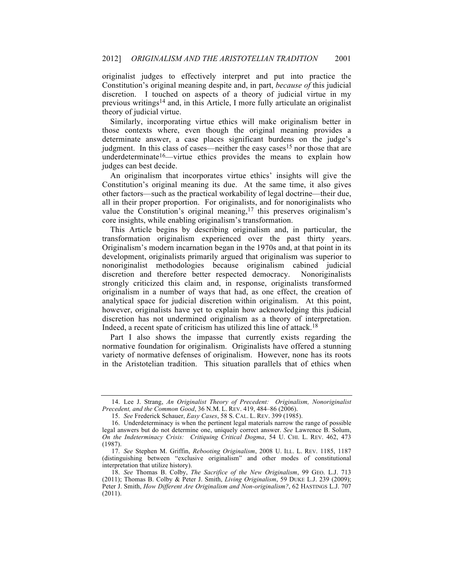originalist judges to effectively interpret and put into practice the Constitution's original meaning despite and, in part, *because of* this judicial discretion. I touched on aspects of a theory of judicial virtue in my previous writings14 and, in this Article, I more fully articulate an originalist theory of judicial virtue.

Similarly, incorporating virtue ethics will make originalism better in those contexts where, even though the original meaning provides a determinate answer, a case places significant burdens on the judge's judgment. In this class of cases—neither the easy cases<sup>15</sup> nor those that are underdeterminate<sup>16</sup>—virtue ethics provides the means to explain how judges can best decide.

An originalism that incorporates virtue ethics' insights will give the Constitution's original meaning its due. At the same time, it also gives other factors—such as the practical workability of legal doctrine—their due, all in their proper proportion. For originalists, and for nonoriginalists who value the Constitution's original meaning, $17$  this preserves originalism's core insights, while enabling originalism's transformation.

This Article begins by describing originalism and, in particular, the transformation originalism experienced over the past thirty years. Originalism's modern incarnation began in the 1970s and, at that point in its development, originalists primarily argued that originalism was superior to nonoriginalist methodologies because originalism cabined judicial discretion and therefore better respected democracy. Nonoriginalists strongly criticized this claim and, in response, originalists transformed originalism in a number of ways that had, as one effect, the creation of analytical space for judicial discretion within originalism. At this point, however, originalists have yet to explain how acknowledging this judicial discretion has not undermined originalism as a theory of interpretation. Indeed, a recent spate of criticism has utilized this line of attack.18

Part I also shows the impasse that currently exists regarding the normative foundation for originalism. Originalists have offered a stunning variety of normative defenses of originalism. However, none has its roots in the Aristotelian tradition. This situation parallels that of ethics when

<sup>14.</sup> Lee J. Strang, *An Originalist Theory of Precedent: Originalism, Nonoriginalist Precedent, and the Common Good*, 36 N.M. L. REV. 419, 484–86 (2006).

<sup>15.</sup> *See* Frederick Schauer, *Easy Cases*, 58 S. CAL. L. REV. 399 (1985).

<sup>16.</sup> Underdeterminacy is when the pertinent legal materials narrow the range of possible legal answers but do not determine one, uniquely correct answer. *See* Lawrence B. Solum, *On the Indeterminacy Crisis: Critiquing Critical Dogma*, 54 U. CHI. L. REV. 462, 473 (1987).

<sup>17.</sup> *See* Stephen M. Griffin, *Rebooting Originalism*, 2008 U. ILL. L. REV. 1185, 1187 (distinguishing between "exclusive originalism" and other modes of constitutional interpretation that utilize history).

<sup>18.</sup> *See* Thomas B. Colby, *The Sacrifice of the New Originalism*, 99 GEO. L.J. 713 (2011); Thomas B. Colby & Peter J. Smith, *Living Originalism*, 59 DUKE L.J. 239 (2009); Peter J. Smith, *How Different Are Originalism and Non-originalism?*, 62 HASTINGS L.J. 707 (2011).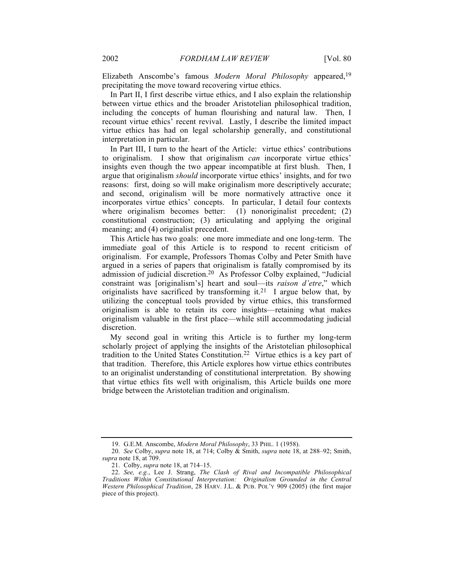Elizabeth Anscombe's famous *Modern Moral Philosophy* appeared,19 precipitating the move toward recovering virtue ethics.

In Part II, I first describe virtue ethics, and I also explain the relationship between virtue ethics and the broader Aristotelian philosophical tradition, including the concepts of human flourishing and natural law. Then, I recount virtue ethics' recent revival. Lastly, I describe the limited impact virtue ethics has had on legal scholarship generally, and constitutional interpretation in particular.

In Part III, I turn to the heart of the Article: virtue ethics' contributions to originalism. I show that originalism *can* incorporate virtue ethics' insights even though the two appear incompatible at first blush. Then, I argue that originalism *should* incorporate virtue ethics' insights, and for two reasons: first, doing so will make originalism more descriptively accurate; and second, originalism will be more normatively attractive once it incorporates virtue ethics' concepts. In particular, I detail four contexts where originalism becomes better: (1) nonoriginalist precedent; (2) constitutional construction; (3) articulating and applying the original meaning; and (4) originalist precedent.

This Article has two goals: one more immediate and one long-term. The immediate goal of this Article is to respond to recent criticism of originalism. For example, Professors Thomas Colby and Peter Smith have argued in a series of papers that originalism is fatally compromised by its admission of judicial discretion.20 As Professor Colby explained, "Judicial constraint was [originalism's] heart and soul—its *raison d'etre*," which originalists have sacrificed by transforming it.<sup>21</sup> I argue below that, by utilizing the conceptual tools provided by virtue ethics, this transformed originalism is able to retain its core insights—retaining what makes originalism valuable in the first place—while still accommodating judicial discretion.

My second goal in writing this Article is to further my long-term scholarly project of applying the insights of the Aristotelian philosophical tradition to the United States Constitution.22 Virtue ethics is a key part of that tradition. Therefore, this Article explores how virtue ethics contributes to an originalist understanding of constitutional interpretation. By showing that virtue ethics fits well with originalism, this Article builds one more bridge between the Aristotelian tradition and originalism.

<sup>19.</sup> G.E.M. Anscombe, *Modern Moral Philosophy*, 33 PHIL. 1 (1958).

<sup>20.</sup> *See* Colby, *supra* note 18, at 714; Colby & Smith, *supra* note 18, at 288–92; Smith, *supra* note 18, at 709.

<sup>21.</sup> Colby, *supra* note 18, at 714–15.

<sup>22.</sup> *See, e.g.*, Lee J. Strang, *The Clash of Rival and Incompatible Philosophical Traditions Within Constitutional Interpretation: Originalism Grounded in the Central Western Philosophical Tradition*, 28 HARV. J.L. & PUB. POL'Y 909 (2005) (the first major piece of this project).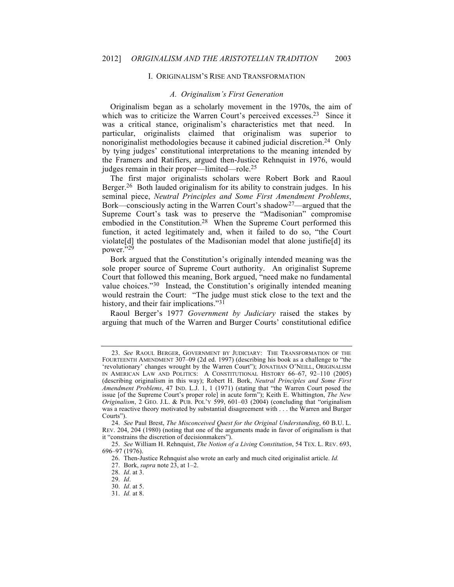#### I. ORIGINALISM'S RISE AND TRANSFORMATION

#### *A. Originalism's First Generation*

Originalism began as a scholarly movement in the 1970s, the aim of which was to criticize the Warren Court's perceived excesses.<sup>23</sup> Since it was a critical stance, originalism's characteristics met that need. In particular, originalists claimed that originalism was superior to nonoriginalist methodologies because it cabined judicial discretion.24 Only by tying judges' constitutional interpretations to the meaning intended by the Framers and Ratifiers, argued then-Justice Rehnquist in 1976, would judges remain in their proper—limited—role.25

The first major originalists scholars were Robert Bork and Raoul Berger.<sup>26</sup> Both lauded originalism for its ability to constrain judges. In his seminal piece, *Neutral Principles and Some First Amendment Problems*, Bork—consciously acting in the Warren Court's shadow27—argued that the Supreme Court's task was to preserve the "Madisonian" compromise embodied in the Constitution.<sup>28</sup> When the Supreme Court performed this function, it acted legitimately and, when it failed to do so, "the Court violate[d] the postulates of the Madisonian model that alone justifie[d] its power."29

Bork argued that the Constitution's originally intended meaning was the sole proper source of Supreme Court authority. An originalist Supreme Court that followed this meaning, Bork argued, "need make no fundamental value choices."30 Instead, the Constitution's originally intended meaning would restrain the Court: "The judge must stick close to the text and the history, and their fair implications."<sup>31</sup>

Raoul Berger's 1977 *Government by Judiciary* raised the stakes by arguing that much of the Warren and Burger Courts' constitutional edifice

<sup>23.</sup> *See* RAOUL BERGER, GOVERNMENT BY JUDICIARY: THE TRANSFORMATION OF THE FOURTEENTH AMENDMENT 307–09 (2d ed. 1997) (describing his book as a challenge to "the 'revolutionary' changes wrought by the Warren Court"); JONATHAN O'NEILL, ORIGINALISM IN AMERICAN LAW AND POLITICS: A CONSTITUTIONAL HISTORY 66–67, 92–110 (2005) (describing originalism in this way); Robert H. Bork, *Neutral Principles and Some First Amendment Problems*, 47 IND. L.J. 1, 1 (1971) (stating that "the Warren Court posed the issue [of the Supreme Court's proper role] in acute form"); Keith E. Whittington, *The New Originalism*, 2 GEO. J.L. & PUB. POL'Y 599, 601–03 (2004) (concluding that "originalism was a reactive theory motivated by substantial disagreement with . . . the Warren and Burger Courts").

<sup>24.</sup> *See* Paul Brest, *The Misconceived Quest for the Original Understanding*, 60 B.U. L. REV. 204, 204 (1980) (noting that one of the arguments made in favor of originalism is that it "constrains the discretion of decisionmakers").

<sup>25.</sup> *See* William H. Rehnquist, *The Notion of a Living Constitution*, 54 TEX. L. REV. 693, 696–97 (1976).

<sup>26.</sup> Then-Justice Rehnquist also wrote an early and much cited originalist article. *Id.*

<sup>27.</sup> Bork, *supra* note 23, at 1–2.

<sup>28.</sup> *Id*. at 3.

<sup>29.</sup> *Id*.

<sup>30.</sup> *Id*. at 5.

<sup>31.</sup> *Id.* at 8.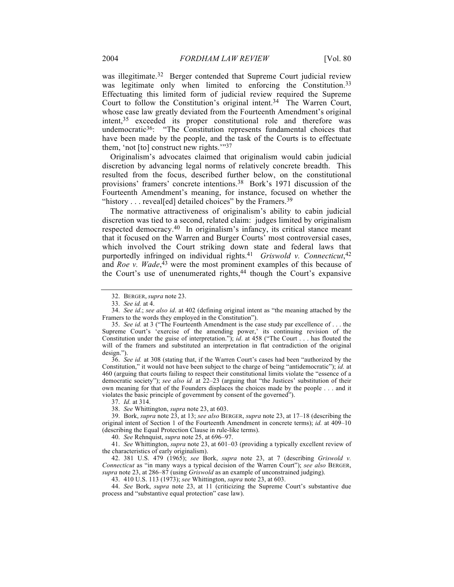was illegitimate.<sup>32</sup> Berger contended that Supreme Court judicial review was legitimate only when limited to enforcing the Constitution.<sup>33</sup> Effectuating this limited form of judicial review required the Supreme Court to follow the Constitution's original intent.<sup>34</sup> The Warren Court, whose case law greatly deviated from the Fourteenth Amendment's original intent,35 exceeded its proper constitutional role and therefore was undemocratic<sup>36</sup>: "The Constitution represents fundamental choices that have been made by the people, and the task of the Courts is to effectuate them, 'not [to] construct new rights.'"37

Originalism's advocates claimed that originalism would cabin judicial discretion by advancing legal norms of relatively concrete breadth. This resulted from the focus, described further below, on the constitutional provisions' framers' concrete intentions.38 Bork's 1971 discussion of the Fourteenth Amendment's meaning, for instance, focused on whether the "history  $\ldots$  reveal[ed] detailed choices" by the Framers.<sup>39</sup>

The normative attractiveness of originalism's ability to cabin judicial discretion was tied to a second, related claim: judges limited by originalism respected democracy.40 In originalism's infancy, its critical stance meant that it focused on the Warren and Burger Courts' most controversial cases, which involved the Court striking down state and federal laws that purportedly infringed on individual rights.41 *Griswold v. Connecticut*, 42 and *Roe v. Wade*, <sup>43</sup> were the most prominent examples of this because of the Court's use of unenumerated rights,<sup>44</sup> though the Court's expansive

36. *See id.* at 308 (stating that, if the Warren Court's cases had been "authorized by the Constitution," it would not have been subject to the charge of being "antidemocratic"); *id.* at 460 (arguing that courts failing to respect their constitutional limits violate the "essence of a democratic society"); *see also id.* at 22–23 (arguing that "the Justices' substitution of their own meaning for that of the Founders displaces the choices made by the people . . . and it violates the basic principle of government by consent of the governed").

37. *Id.* at 314.

38. *See* Whittington, *supra* note 23, at 603.

39. Bork, *supra* note 23, at 13; *see also* BERGER, *supra* note 23, at 17–18 (describing the original intent of Section 1 of the Fourteenth Amendment in concrete terms); *id.* at 409–10 (describing the Equal Protection Clause in rule-like terms).

40. *See* Rehnquist, *supra* note 25, at 696–97.

41. *See* Whittington, *supra* note 23, at 601–03 (providing a typically excellent review of the characteristics of early originalism).

42. 381 U.S. 479 (1965); *see* Bork, *supra* note 23, at 7 (describing *Griswold v. Connecticut* as "in many ways a typical decision of the Warren Court"); *see also* BERGER, *supra* note 23, at 286–87 (using *Griswold* as an example of unconstrained judging).

43. 410 U.S. 113 (1973); *see* Whittington, *supra* note 23, at 603.

44. *See* Bork, *supra* note 23, at 11 (criticizing the Supreme Court's substantive due process and "substantive equal protection" case law).

<sup>32.</sup> BERGER, *supra* note 23.

<sup>33.</sup> *See id.* at 4.

<sup>34.</sup> *See id*.; *see also id*. at 402 (defining original intent as "the meaning attached by the Framers to the words they employed in the Constitution").

<sup>35.</sup> *See id.* at 3 ("The Fourteenth Amendment is the case study par excellence of . . . the Supreme Court's 'exercise of the amending power,' its continuing revision of the Constitution under the guise of interpretation."); *id*. at 458 ("The Court . . . has flouted the will of the framers and substituted an interpretation in flat contradiction of the original design.").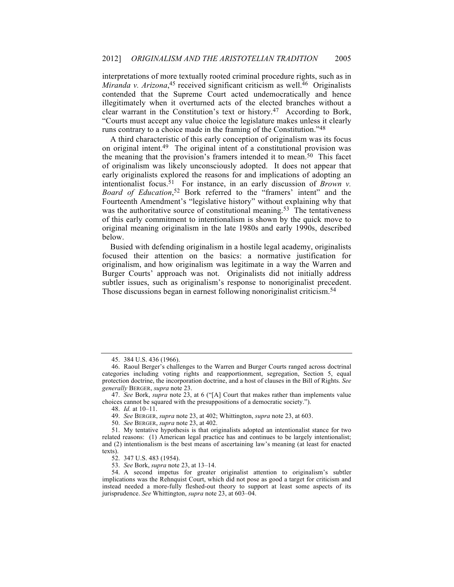interpretations of more textually rooted criminal procedure rights, such as in Miranda v. Arizona,<sup>45</sup> received significant criticism as well.<sup>46</sup> Originalists contended that the Supreme Court acted undemocratically and hence illegitimately when it overturned acts of the elected branches without a clear warrant in the Constitution's text or history.47 According to Bork, "Courts must accept any value choice the legislature makes unless it clearly runs contrary to a choice made in the framing of the Constitution."48

A third characteristic of this early conception of originalism was its focus on original intent.49 The original intent of a constitutional provision was the meaning that the provision's framers intended it to mean.<sup>50</sup> This facet of originalism was likely unconsciously adopted. It does not appear that early originalists explored the reasons for and implications of adopting an intentionalist focus.51 For instance, in an early discussion of *Brown v. Board of Education*, <sup>52</sup> Bork referred to the "framers' intent" and the Fourteenth Amendment's "legislative history" without explaining why that was the authoritative source of constitutional meaning.<sup>53</sup> The tentativeness of this early commitment to intentionalism is shown by the quick move to original meaning originalism in the late 1980s and early 1990s, described below.

Busied with defending originalism in a hostile legal academy, originalists focused their attention on the basics: a normative justification for originalism, and how originalism was legitimate in a way the Warren and Burger Courts' approach was not. Originalists did not initially address subtler issues, such as originalism's response to nonoriginalist precedent. Those discussions began in earnest following nonoriginalist criticism.<sup>54</sup>

50. *See* BERGER, *supra* note 23, at 402.

<sup>45.</sup> 384 U.S. 436 (1966).

<sup>46.</sup> Raoul Berger's challenges to the Warren and Burger Courts ranged across doctrinal categories including voting rights and reapportionment, segregation, Section 5, equal protection doctrine, the incorporation doctrine, and a host of clauses in the Bill of Rights. *See generally* BERGER, *supra* note 23.

<sup>47.</sup> *See* Bork, *supra* note 23, at 6 ("[A] Court that makes rather than implements value choices cannot be squared with the presuppositions of a democratic society.").

<sup>48.</sup> *Id.* at 10–11.

<sup>49.</sup> *See* BERGER, *supra* note 23, at 402; Whittington, *supra* note 23, at 603.

<sup>51.</sup> My tentative hypothesis is that originalists adopted an intentionalist stance for two related reasons: (1) American legal practice has and continues to be largely intentionalist; and (2) intentionalism is the best means of ascertaining law's meaning (at least for enacted texts).

<sup>52.</sup> 347 U.S. 483 (1954).

<sup>53.</sup> *See* Bork, *supra* note 23, at 13–14.

<sup>54.</sup> A second impetus for greater originalist attention to originalism's subtler implications was the Rehnquist Court, which did not pose as good a target for criticism and instead needed a more-fully fleshed-out theory to support at least some aspects of its jurisprudence. *See* Whittington, *supra* note 23, at 603–04.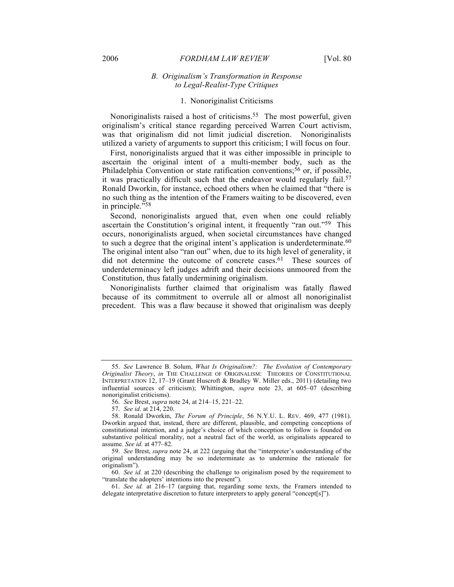#### 2006 *FORDHAM LAW REVIEW* [Vol. 80

### *B. Originalism's Transformation in Response to Legal-Realist-Type Critiques*

### 1. Nonoriginalist Criticisms

Nonoriginalists raised a host of criticisms.55 The most powerful, given originalism's critical stance regarding perceived Warren Court activism, was that originalism did not limit judicial discretion. Nonoriginalists utilized a variety of arguments to support this criticism; I will focus on four.

First, nonoriginalists argued that it was either impossible in principle to ascertain the original intent of a multi-member body, such as the Philadelphia Convention or state ratification conventions;<sup>56</sup> or, if possible, it was practically difficult such that the endeavor would regularly fail.<sup>57</sup> Ronald Dworkin, for instance, echoed others when he claimed that "there is no such thing as the intention of the Framers waiting to be discovered, even in principle."58

Second, nonoriginalists argued that, even when one could reliably ascertain the Constitution's original intent, it frequently "ran out."59 This occurs, nonoriginalists argued, when societal circumstances have changed to such a degree that the original intent's application is underdeterminate.<sup>60</sup> The original intent also "ran out" when, due to its high level of generality, it did not determine the outcome of concrete cases.<sup>61</sup> These sources of underdeterminacy left judges adrift and their decisions unmoored from the Constitution, thus fatally undermining originalism.

Nonoriginalists further claimed that originalism was fatally flawed because of its commitment to overrule all or almost all nonoriginalist precedent. This was a flaw because it showed that originalism was deeply

<sup>55.</sup> *See* Lawrence B. Solum, *What Is Originalism?: The Evolution of Contemporary Originalist Theory*, *in* THE CHALLENGE OF ORIGINALISM: THEORIES OF CONSTITUTIONAL INTERPRETATION 12, 17–19 (Grant Huscroft & Bradley W. Miller eds., 2011) (detailing two influential sources of criticism); Whittington, *supra* note 23, at 605–07 (describing nonoriginalist criticisms).

<sup>56.</sup> *See* Brest, *supra* note 24, at 214–15, 221–22.

<sup>57.</sup> *See id*. at 214, 220.

<sup>58.</sup> Ronald Dworkin, *The Forum of Principle*, 56 N.Y.U. L. REV. 469, 477 (1981). Dworkin argued that, instead, there are different, plausible, and competing conceptions of constitutional intention, and a judge's choice of which conception to follow is founded on substantive political morality, not a neutral fact of the world, as originalists appeared to assume. *See id.* at 477–82.

<sup>59.</sup> *See* Brest, *supra* note 24, at 222 (arguing that the "interpreter's understanding of the original understanding may be so indeterminate as to undermine the rationale for originalism").

<sup>60.</sup> *See id.* at 220 (describing the challenge to originalism posed by the requirement to "translate the adopters' intentions into the present").

<sup>61.</sup> *See id.* at 216–17 (arguing that, regarding some texts, the Framers intended to delegate interpretative discretion to future interpreters to apply general "concept[s]").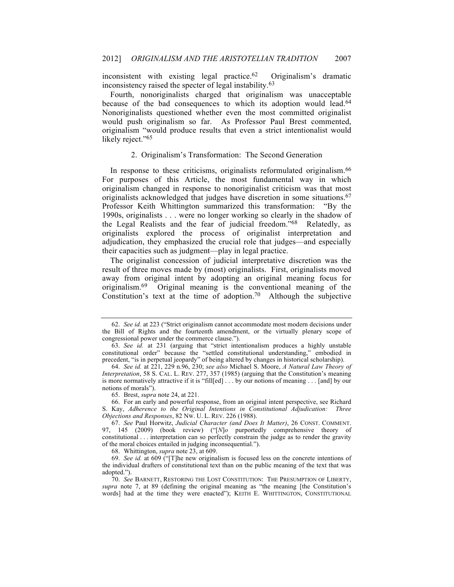inconsistent with existing legal practice. $62$  Originalism's dramatic inconsistency raised the specter of legal instability.63

Fourth, nonoriginalists charged that originalism was unacceptable because of the bad consequences to which its adoption would lead.<sup>64</sup> Nonoriginalists questioned whether even the most committed originalist would push originalism so far. As Professor Paul Brest commented, originalism "would produce results that even a strict intentionalist would likely reject."<sup>65</sup>

### 2. Originalism's Transformation: The Second Generation

In response to these criticisms, originalists reformulated originalism.<sup>66</sup> For purposes of this Article, the most fundamental way in which originalism changed in response to nonoriginalist criticism was that most originalists acknowledged that judges have discretion in some situations.<sup>67</sup> Professor Keith Whittington summarized this transformation: "By the 1990s, originalists . . . were no longer working so clearly in the shadow of the Legal Realists and the fear of judicial freedom."68 Relatedly, as originalists explored the process of originalist interpretation and adjudication, they emphasized the crucial role that judges—and especially their capacities such as judgment—play in legal practice.

The originalist concession of judicial interpretative discretion was the result of three moves made by (most) originalists. First, originalists moved away from original intent by adopting an original meaning focus for originalism.69 Original meaning is the conventional meaning of the Constitution's text at the time of adoption.<sup>70</sup> Although the subjective

66. For an early and powerful response, from an original intent perspective, see Richard S. Kay, *Adherence to the Original Intentions in Constitutional Adjudication: Three Objections and Responses*, 82 NW. U. L. REV. 226 (1988).

68. Whittington, *supra* note 23, at 609.

<sup>62.</sup> *See id.* at 223 ("Strict originalism cannot accommodate most modern decisions under the Bill of Rights and the fourteenth amendment, or the virtually plenary scope of congressional power under the commerce clause.").

<sup>63.</sup> *See id.* at 231 (arguing that "strict intentionalism produces a highly unstable constitutional order" because the "settled constitutional understanding," embodied in precedent, "is in perpetual jeopardy" of being altered by changes in historical scholarship).

<sup>64.</sup> *See id.* at 221, 229 n.96, 230; *see also* Michael S. Moore, *A Natural Law Theory of Interpretation*, 58 S. CAL. L. REV. 277, 357 (1985) (arguing that the Constitution's meaning is more normatively attractive if it is "fill[ed] . . . by our notions of meaning . . . [and] by our notions of morals").

<sup>65.</sup> Brest, *supra* note 24, at 221.

<sup>67.</sup> *See* Paul Horwitz, *Judicial Character (and Does It Matter)*, 26 CONST. COMMENT. 97, 145 (2009) (book review) ("[*N*]*o* purportedly comprehensive theory of constitutional . . . interpretation can so perfectly constrain the judge as to render the gravity of the moral choices entailed in judging inconsequential.").

<sup>69.</sup> *See id.* at 609 ("[T]he new originalism is focused less on the concrete intentions of the individual drafters of constitutional text than on the public meaning of the text that was adopted.").

<sup>70.</sup> *See* BARNETT, RESTORING THE LOST CONSTITUTION: THE PRESUMPTION OF LIBERTY, *supra* note 7, at 89 (defining the original meaning as "the meaning [the Constitution's words] had at the time they were enacted"); KEITH E. WHITTINGTON, CONSTITUTIONAL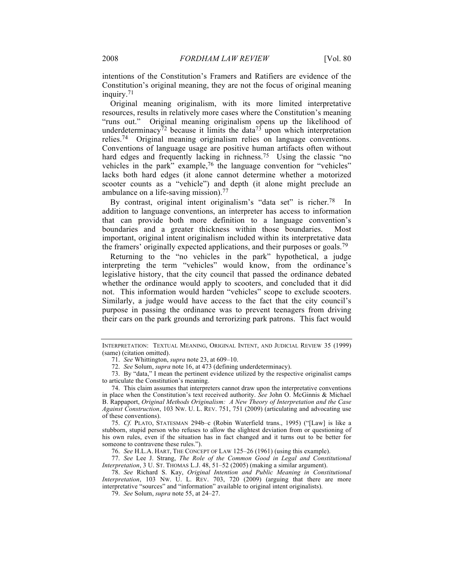intentions of the Constitution's Framers and Ratifiers are evidence of the Constitution's original meaning, they are not the focus of original meaning inquiry.71

Original meaning originalism, with its more limited interpretative resources, results in relatively more cases where the Constitution's meaning "runs out." Original meaning originalism opens up the likelihood of underdeterminacy<sup>72</sup> because it limits the data<sup>73</sup> upon which interpretation relies.74 Original meaning originalism relies on language conventions. Conventions of language usage are positive human artifacts often without hard edges and frequently lacking in richness.<sup>75</sup> Using the classic "no vehicles in the park" example,76 the language convention for "vehicles" lacks both hard edges (it alone cannot determine whether a motorized scooter counts as a "vehicle") and depth (it alone might preclude an ambulance on a life-saving mission). 77

By contrast, original intent originalism's "data set" is richer.<sup>78</sup> In addition to language conventions, an interpreter has access to information that can provide both more definition to a language convention's boundaries and a greater thickness within those boundaries. Most important, original intent originalism included within its interpretative data the framers' originally expected applications, and their purposes or goals.<sup>79</sup>

Returning to the "no vehicles in the park" hypothetical, a judge interpreting the term "vehicles" would know, from the ordinance's legislative history, that the city council that passed the ordinance debated whether the ordinance would apply to scooters, and concluded that it did not. This information would harden "vehicles" scope to exclude scooters. Similarly, a judge would have access to the fact that the city council's purpose in passing the ordinance was to prevent teenagers from driving their cars on the park grounds and terrorizing park patrons. This fact would

76. *See* H.L.A. HART, THE CONCEPT OF LAW 125–26 (1961) (using this example).

77. *See* Lee J. Strang, *The Role of the Common Good in Legal and Constitutional Interpretation*, 3 U. ST. THOMAS L.J. 48, 51–52 (2005) (making a similar argument).

78. *See* Richard S. Kay, *Original Intention and Public Meaning in Constitutional Interpretation*, 103 NW. U. L. REV. 703, 720 (2009) (arguing that there are more interpretative "sources" and "information" available to original intent originalists).

79. *See* Solum, *supra* note 55, at 24–27.

INTERPRETATION: TEXTUAL MEANING, ORIGINAL INTENT, AND JUDICIAL REVIEW 35 (1999) (same) (citation omitted).

<sup>71.</sup> *See* Whittington, *supra* note 23, at 609–10.

<sup>72.</sup> *See* Solum, *supra* note 16, at 473 (defining underdeterminacy).

<sup>73.</sup> By "data," I mean the pertinent evidence utilized by the respective originalist camps to articulate the Constitution's meaning.

<sup>74.</sup> This claim assumes that interpreters cannot draw upon the interpretative conventions in place when the Constitution's text received authority. *See* John O. McGinnis & Michael B. Rappaport, *Original Methods Originalism: A New Theory of Interpretation and the Case Against Construction*, 103 NW. U. L. REV. 751, 751 (2009) (articulating and advocating use of these conventions).

<sup>75.</sup> *Cf.* PLATO, STATESMAN 294b–c (Robin Waterfield trans., 1995) ("[Law] is like a stubborn, stupid person who refuses to allow the slightest deviation from or questioning of his own rules, even if the situation has in fact changed and it turns out to be better for someone to contravene these rules.").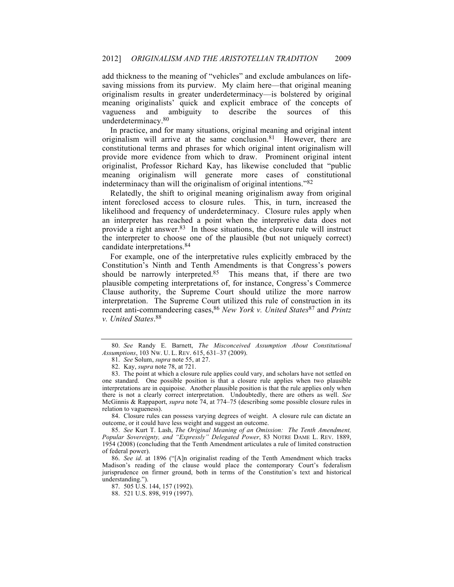add thickness to the meaning of "vehicles" and exclude ambulances on lifesaving missions from its purview. My claim here—that original meaning originalism results in greater underdeterminacy—is bolstered by original meaning originalists' quick and explicit embrace of the concepts of vagueness and ambiguity to describe the sources of this underdeterminacy.80

In practice, and for many situations, original meaning and original intent originalism will arrive at the same conclusion.<sup>81</sup> However, there are constitutional terms and phrases for which original intent originalism will provide more evidence from which to draw. Prominent original intent originalist, Professor Richard Kay, has likewise concluded that "public meaning originalism will generate more cases of constitutional indeterminacy than will the originalism of original intentions."82

Relatedly, the shift to original meaning originalism away from original intent foreclosed access to closure rules. This, in turn, increased the likelihood and frequency of underdeterminacy. Closure rules apply when an interpreter has reached a point when the interpretive data does not provide a right answer.<sup>83</sup> In those situations, the closure rule will instruct the interpreter to choose one of the plausible (but not uniquely correct) candidate interpretations.84

For example, one of the interpretative rules explicitly embraced by the Constitution's Ninth and Tenth Amendments is that Congress's powers should be narrowly interpreted.<sup>85</sup> This means that, if there are two plausible competing interpretations of, for instance, Congress's Commerce Clause authority, the Supreme Court should utilize the more narrow interpretation. The Supreme Court utilized this rule of construction in its recent anti-commandeering cases,86 *New York v. United States*<sup>87</sup> and *Printz v. United States*. 88

84. Closure rules can possess varying degrees of weight. A closure rule can dictate an outcome, or it could have less weight and suggest an outcome.

85. *See* Kurt T. Lash, *The Original Meaning of an Omission: The Tenth Amendment, Popular Sovereignty, and "Expressly" Delegated Power*, 83 NOTRE DAME L. REV. 1889, 1954 (2008) (concluding that the Tenth Amendment articulates a rule of limited construction of federal power).

86. *See id*. at 1896 ("[A]n originalist reading of the Tenth Amendment which tracks Madison's reading of the clause would place the contemporary Court's federalism jurisprudence on firmer ground, both in terms of the Constitution's text and historical understanding.").

87. 505 U.S. 144, 157 (1992).

<sup>80.</sup> *See* Randy E. Barnett, *The Misconceived Assumption About Constitutional Assumptions*, 103 NW. U. L. REV. 615, 631–37 (2009).

<sup>81.</sup> *See* Solum, *supra* note 55, at 27.

<sup>82.</sup> Kay, *supra* note 78, at 721.

<sup>83.</sup> The point at which a closure rule applies could vary, and scholars have not settled on one standard. One possible position is that a closure rule applies when two plausible interpretations are in equipoise. Another plausible position is that the rule applies only when there is not a clearly correct interpretation. Undoubtedly, there are others as well. *See* McGinnis & Rappaport, *supra* note 74, at 774–75 (describing some possible closure rules in relation to vagueness).

<sup>88.</sup> 521 U.S. 898, 919 (1997).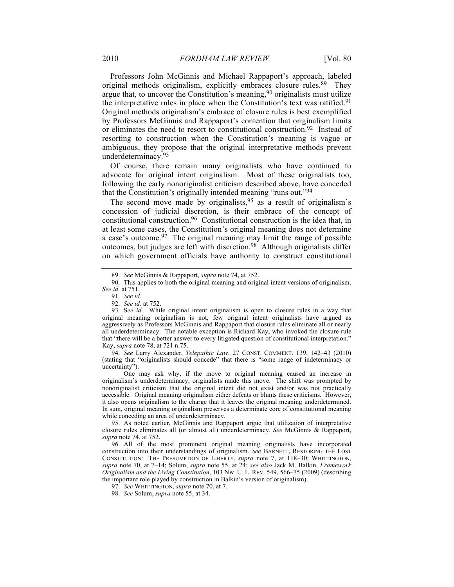Professors John McGinnis and Michael Rappaport's approach, labeled original methods originalism, explicitly embraces closure rules.89 They argue that, to uncover the Constitution's meaning, <sup>90</sup> originalists must utilize the interpretative rules in place when the Constitution's text was ratified.<sup>91</sup> Original methods originalism's embrace of closure rules is best exemplified by Professors McGinnis and Rappaport's contention that originalism limits or eliminates the need to resort to constitutional construction.92 Instead of resorting to construction when the Constitution's meaning is vague or ambiguous, they propose that the original interpretative methods prevent underdeterminacy.93

Of course, there remain many originalists who have continued to advocate for original intent originalism. Most of these originalists too, following the early nonoriginalist criticism described above, have conceded that the Constitution's originally intended meaning "runs out."94

The second move made by originalists,  $95$  as a result of originalism's concession of judicial discretion, is their embrace of the concept of constitutional construction.96 Constitutional construction is the idea that, in at least some cases, the Constitution's original meaning does not determine a case's outcome.  $97$  The original meaning may limit the range of possible outcomes, but judges are left with discretion.<sup>98</sup> Although originalists differ on which government officials have authority to construct constitutional

94. *See* Larry Alexander, *Telepathic Law*, 27 CONST. COMMENT. 139, 142–43 (2010) (stating that "originalists should concede" that there is "some range of indeterminacy or uncertainty").

One may ask why, if the move to original meaning caused an increase in originalism's underdeterminacy, originalists made this move. The shift was prompted by nonoriginalist criticism that the original intent did not exist and/or was not practically accessible. Original meaning originalism either defeats or blunts these criticisms. However, it also opens originalism to the charge that it leaves the original meaning underdetermined. In sum, original meaning originalism preserves a determinate core of constitutional meaning while conceding an area of underdeterminacy.

95. As noted earlier, McGinnis and Rappaport argue that utilization of interpretative closure rules eliminates all (or almost all) underdeterminacy. *See* McGinnis & Rappaport, *supra* note 74, at 752.

96. All of the most prominent original meaning originalists have incorporated construction into their understandings of originalism. *See* BARNETT, RESTORING THE LOST CONSTITUTION: THE PRESUMPTION OF LIBERTY, *supra* note 7, at 118–30; WHITTINGTON, *supra* note 70, at 7–14; Solum, *supra* note 55, at 24; *see also* Jack M. Balkin, *Framework Originalism and the Living Constitution*, 103 NW. U. L. REV. 549, 566–75 (2009) (describing the important role played by construction in Balkin's version of originalism).

97. *See* WHITTINGTON, *supra* note 70, at 7.

98. *See* Solum, *supra* note 55, at 34.

<sup>89.</sup> *See* McGinnis & Rappaport, *supra* note 74, at 752.

<sup>90.</sup> This applies to both the original meaning and original intent versions of originalism. *See id.* at 751.

<sup>91.</sup> *See id.*

<sup>92.</sup> *See id.* at 752.

<sup>93.</sup> S*ee id.* While original intent originalism is open to closure rules in a way that original meaning originalism is not, few original intent originalists have argued as aggressively as Professors McGinnis and Rappaport that closure rules eliminate all or nearly all underdeterminacy. The notable exception is Richard Kay, who invoked the closure rule that "there will be a better answer to every litigated question of constitutional interpretation." Kay, *supra* note 78, at 721 n.75.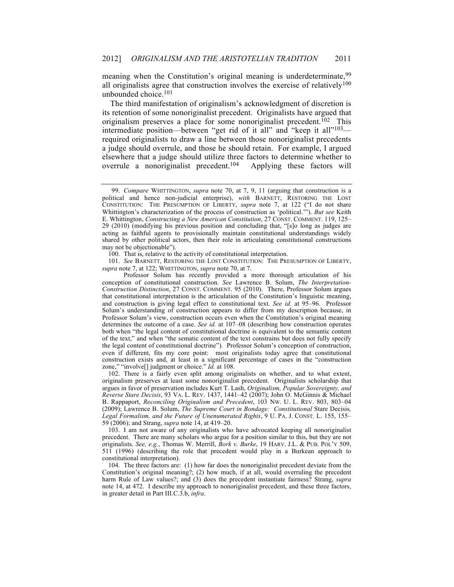meaning when the Constitution's original meaning is underdeterminate, <sup>99</sup> all originalists agree that construction involves the exercise of relatively<sup>100</sup> unbounded choice.101

The third manifestation of originalism's acknowledgment of discretion is its retention of some nonoriginalist precedent. Originalists have argued that originalism preserves a place for some nonoriginalist precedent.<sup>102</sup> This intermediate position—between "get rid of it all" and "keep it all"103 required originalists to draw a line between those nonoriginalist precedents a judge should overrule, and those he should retain. For example, I argued elsewhere that a judge should utilize three factors to determine whether to overrule a nonoriginalist precedent.104 Applying these factors will

101. *See* BARNETT, RESTORING THE LOST CONSTITUTION: THE PRESUMPTION OF LIBERTY, *supra* note 7, at 122; WHITTINGTON, *supra* note 70, at 7.

102. There is a fairly even split among originalists on whether, and to what extent, originalism preserves at least some nonoriginalist precedent. Originalists scholarship that argues in favor of preservation includes Kurt T. Lash, *Originalism, Popular Sovereignty, and Reverse Stare Decisis*, 93 VA. L. REV. 1437, 1441–42 (2007); John O. McGinnis & Michael B. Rappaport, *Reconciling Originalism and Precedent*, 103 NW. U. L. REV. 803, 803–04 (2009); Lawrence B. Solum, *The Supreme Court in Bondage: Constitutional* Stare Decisis*, Legal Formalism, and the Future of Unenumerated Rights*, 9 U. PA. J. CONST. L. 155, 155– 59 (2006); and Strang, *supra* note 14, at 419–20.

103. I am not aware of any originalists who have advocated keeping all nonoriginalist precedent. There are many scholars who argue for a position similar to this, but they are not originalists. *See, e.g.*, Thomas W. Merrill, *Bork v. Burke*, 19 HARV. J.L. & PUB. POL'Y 509, 511 (1996) (describing the role that precedent would play in a Burkean approach to constitutional interpretation).

104. The three factors are: (1) how far does the nonoriginalist precedent deviate from the Constitution's original meaning?; (2) how much, if at all, would overruling the precedent harm Rule of Law values?; and (3) does the precedent instantiate fairness? Strang, *supra* note 14, at 472. I describe my approach to nonoriginalist precedent, and these three factors, in greater detail in Part III.C.3.b, *infra*.

<sup>99.</sup> *Compare* WHITTINGTON, *supra* note 70, at 7, 9, 11 (arguing that construction is a political and hence non-judicial enterprise), *with* BARNETT, RESTORING THE LOST CONSTITUTION: THE PRESUMPTION OF LIBERTY, *supra* note 7, at 122 ("I do not share Whittington's characterization of the process of construction as 'political.'"). *But see* Keith E. Whittington, *Constructing a New American Constitution*, 27 CONST. COMMENT. 119, 125– 29 (2010) (modifying his previous position and concluding that, "[s]o long as judges are acting as faithful agents to provisionally maintain constitutional understandings widely shared by other political actors, then their role in articulating constitutional constructions may not be objectionable").

<sup>100.</sup> That is, relative to the activity of constitutional interpretation.

Professor Solum has recently provided a more thorough articulation of his conception of constitutional construction. *See* Lawrence B. Solum, *The Interpretation-Construction Distinction*, 27 CONST. COMMENT. 95 (2010). There, Professor Solum argues that constitutional interpretation is the articulation of the Constitution's linguistic meaning, and construction is giving legal effect to constitutional text. *See id.* at 95–96. Professor Solum's understanding of construction appears to differ from my description because, in Professor Solum's view, construction occurs even when the Constitution's original meaning determines the outcome of a case. *See id.* at 107–08 (describing how construction operates both when "the legal content of constitutional doctrine is equivalent to the semantic content of the text," and when "the sematic content of the text constrains but does not fully specify the legal content of constitutional doctrine"). Professor Solum's conception of construction, even if different, fits my core point: most originalists today agree that constitutional construction exists and, at least in a significant percentage of cases in the "construction zone," "involve[] judgment or choice." *Id.* at 108.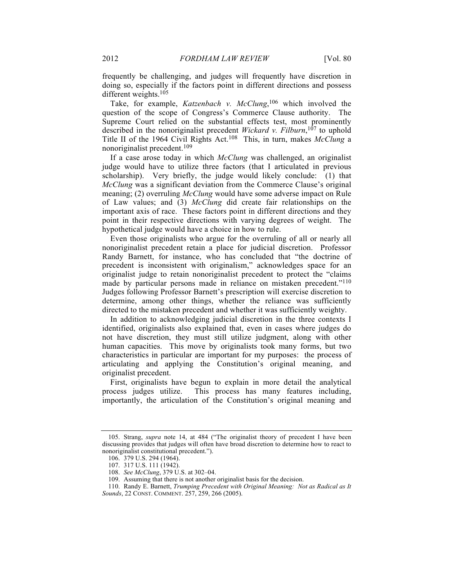frequently be challenging, and judges will frequently have discretion in doing so, especially if the factors point in different directions and possess different weights.105

Take, for example, *Katzenbach v. McClung*, <sup>106</sup> which involved the question of the scope of Congress's Commerce Clause authority. The Supreme Court relied on the substantial effects test, most prominently described in the nonoriginalist precedent *Wickard v. Filburn*, <sup>107</sup> to uphold Title II of the 1964 Civil Rights Act.108 This, in turn, makes *McClung* a nonoriginalist precedent.109

If a case arose today in which *McClung* was challenged, an originalist judge would have to utilize three factors (that I articulated in previous scholarship). Very briefly, the judge would likely conclude: (1) that *McClung* was a significant deviation from the Commerce Clause's original meaning; (2) overruling *McClung* would have some adverse impact on Rule of Law values; and (3) *McClung* did create fair relationships on the important axis of race. These factors point in different directions and they point in their respective directions with varying degrees of weight. The hypothetical judge would have a choice in how to rule.

Even those originalists who argue for the overruling of all or nearly all nonoriginalist precedent retain a place for judicial discretion. Professor Randy Barnett, for instance, who has concluded that "the doctrine of precedent is inconsistent with originalism," acknowledges space for an originalist judge to retain nonoriginalist precedent to protect the "claims made by particular persons made in reliance on mistaken precedent."<sup>110</sup> Judges following Professor Barnett's prescription will exercise discretion to determine, among other things, whether the reliance was sufficiently directed to the mistaken precedent and whether it was sufficiently weighty.

In addition to acknowledging judicial discretion in the three contexts I identified, originalists also explained that, even in cases where judges do not have discretion, they must still utilize judgment, along with other human capacities. This move by originalists took many forms, but two characteristics in particular are important for my purposes: the process of articulating and applying the Constitution's original meaning, and originalist precedent.

First, originalists have begun to explain in more detail the analytical process judges utilize. This process has many features including, importantly, the articulation of the Constitution's original meaning and

<sup>105.</sup> Strang, *supra* note 14, at 484 ("The originalist theory of precedent I have been discussing provides that judges will often have broad discretion to determine how to react to nonoriginalist constitutional precedent.").

<sup>106.</sup> 379 U.S. 294 (1964).

<sup>107.</sup> 317 U.S. 111 (1942).

<sup>108.</sup> *See McClung*, 379 U.S. at 302–04.

<sup>109.</sup> Assuming that there is not another originalist basis for the decision.

<sup>110.</sup> Randy E. Barnett, *Trumping Precedent with Original Meaning: Not as Radical as It Sounds*, 22 CONST. COMMENT. 257, 259, 266 (2005).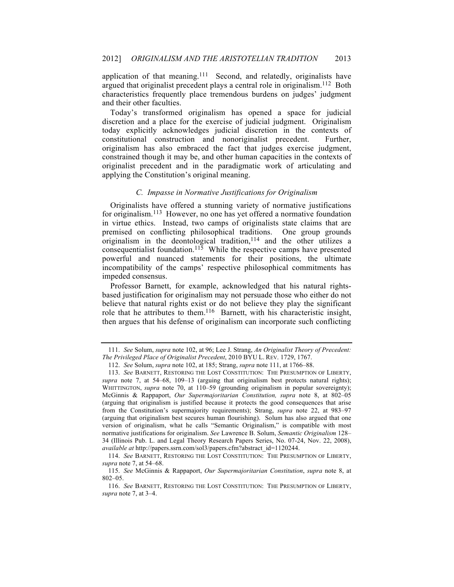application of that meaning.111 Second, and relatedly, originalists have argued that originalist precedent plays a central role in originalism.112 Both characteristics frequently place tremendous burdens on judges' judgment and their other faculties.

Today's transformed originalism has opened a space for judicial discretion and a place for the exercise of judicial judgment. Originalism today explicitly acknowledges judicial discretion in the contexts of constitutional construction and nonoriginalist precedent. Further, originalism has also embraced the fact that judges exercise judgment, constrained though it may be, and other human capacities in the contexts of originalist precedent and in the paradigmatic work of articulating and applying the Constitution's original meaning.

#### *C. Impasse in Normative Justifications for Originalism*

Originalists have offered a stunning variety of normative justifications for originalism.113 However, no one has yet offered a normative foundation in virtue ethics. Instead, two camps of originalists state claims that are premised on conflicting philosophical traditions. One group grounds originalism in the deontological tradition, $114$  and the other utilizes a consequentialist foundation.<sup>115</sup> While the respective camps have presented powerful and nuanced statements for their positions, the ultimate incompatibility of the camps' respective philosophical commitments has impeded consensus.

Professor Barnett, for example, acknowledged that his natural rightsbased justification for originalism may not persuade those who either do not believe that natural rights exist or do not believe they play the significant role that he attributes to them.116 Barnett, with his characteristic insight, then argues that his defense of originalism can incorporate such conflicting

<sup>111.</sup> *See* Solum, *supra* note 102, at 96; Lee J. Strang, *An Originalist Theory of Precedent: The Privileged Place of Originalist Precedent*, 2010 BYU L. REV. 1729, 1767.

<sup>112.</sup> *See* Solum, *supra* note 102, at 185; Strang, *supra* note 111, at 1766–88.

<sup>113.</sup> *See* BARNETT, RESTORING THE LOST CONSTITUTION: THE PRESUMPTION OF LIBERTY, *supra* note 7, at 54–68, 109–13 (arguing that originalism best protects natural rights); WHITTINGTON, *supra* note 70, at 110–59 (grounding originalism in popular sovereignty); McGinnis & Rappaport, *Our Supermajoritarian Constitution, supra* note 8, at 802–05 (arguing that originalism is justified because it protects the good consequences that arise from the Constitution's supermajority requirements); Strang, *supra* note 22, at 983–97 (arguing that originalism best secures human flourishing). Solum has also argued that one version of originalism, what he calls "Semantic Originalism," is compatible with most normative justifications for originalism. *See* Lawrence B. Solum, *Semantic Originalism* 128– 34 (Illinois Pub. L. and Legal Theory Research Papers Series, No. 07-24, Nov. 22, 2008), *available at* http://papers.ssrn.com/sol3/papers.cfm?abstract\_id=1120244.

<sup>114.</sup> *See* BARNETT, RESTORING THE LOST CONSTITUTION: THE PRESUMPTION OF LIBERTY, *supra* note 7, at 54–68.

<sup>115.</sup> *See* McGinnis & Rappaport, *Our Supermajoritarian Constitution*, *supra* note 8, at 802–05.

<sup>116.</sup> *See* BARNETT, RESTORING THE LOST CONSTITUTION: THE PRESUMPTION OF LIBERTY, *supra* note 7, at 3–4.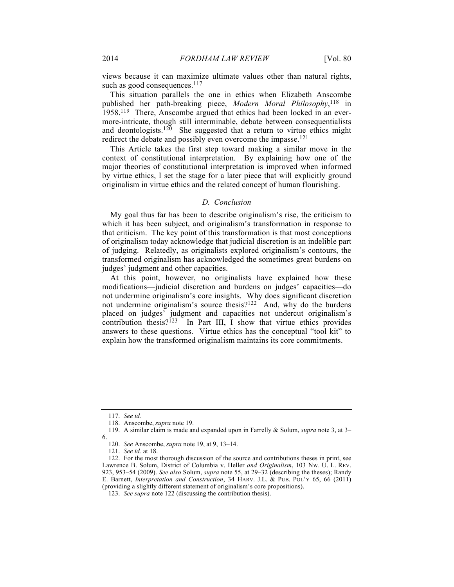views because it can maximize ultimate values other than natural rights, such as good consequences.<sup>117</sup>

This situation parallels the one in ethics when Elizabeth Anscombe published her path-breaking piece, *Modern Moral Philosophy*, <sup>118</sup> in 1958.119 There, Anscombe argued that ethics had been locked in an evermore-intricate, though still interminable, debate between consequentialists and deontologists.<sup>120</sup> She suggested that a return to virtue ethics might redirect the debate and possibly even overcome the impasse.121

This Article takes the first step toward making a similar move in the context of constitutional interpretation. By explaining how one of the major theories of constitutional interpretation is improved when informed by virtue ethics, I set the stage for a later piece that will explicitly ground originalism in virtue ethics and the related concept of human flourishing.

## *D. Conclusion*

My goal thus far has been to describe originalism's rise, the criticism to which it has been subject, and originalism's transformation in response to that criticism. The key point of this transformation is that most conceptions of originalism today acknowledge that judicial discretion is an indelible part of judging. Relatedly, as originalists explored originalism's contours, the transformed originalism has acknowledged the sometimes great burdens on judges' judgment and other capacities.

At this point, however, no originalists have explained how these modifications—judicial discretion and burdens on judges' capacities—do not undermine originalism's core insights. Why does significant discretion not undermine originalism's source thesis?<sup>122</sup> And, why do the burdens placed on judges' judgment and capacities not undercut originalism's contribution thesis? $123$  In Part III, I show that virtue ethics provides answers to these questions. Virtue ethics has the conceptual "tool kit" to explain how the transformed originalism maintains its core commitments.

<sup>117.</sup> *See id.*

<sup>118.</sup> Anscombe, *supra* note 19.

<sup>119.</sup> A similar claim is made and expanded upon in Farrelly & Solum, *supra* note 3, at 3– 6.

<sup>120.</sup> *See* Anscombe, *supra* note 19, at 9, 13–14.

<sup>121.</sup> *See id.* at 18.

<sup>122.</sup> For the most thorough discussion of the source and contributions theses in print, see Lawrence B. Solum, District of Columbia v. Heller *and Originalism*, 103 NW. U. L. REV. 923, 953–54 (2009). *See also* Solum, *supra* note 55, at 29–32 (describing the theses); Randy E. Barnett, *Interpretation and Construction*, 34 HARV. J.L. & PUB. POL'Y 65, 66 (2011) (providing a slightly different statement of originalism's core propositions).

<sup>123.</sup> *See supra* note 122 (discussing the contribution thesis).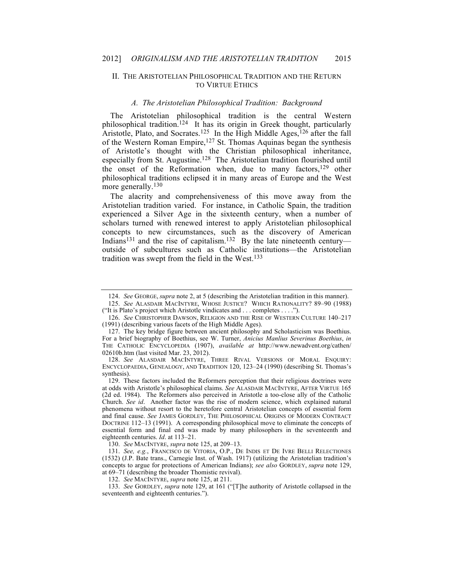### II. THE ARISTOTELIAN PHILOSOPHICAL TRADITION AND THE RETURN TO VIRTUE ETHICS

#### *A. The Aristotelian Philosophical Tradition: Background*

The Aristotelian philosophical tradition is the central Western philosophical tradition.<sup>124</sup> It has its origin in Greek thought, particularly Aristotle, Plato, and Socrates.<sup>125</sup> In the High Middle Ages,<sup>126</sup> after the fall of the Western Roman Empire, <sup>127</sup> St. Thomas Aquinas began the synthesis of Aristotle's thought with the Christian philosophical inheritance, especially from St. Augustine.128 The Aristotelian tradition flourished until the onset of the Reformation when, due to many factors,<sup>129</sup> other philosophical traditions eclipsed it in many areas of Europe and the West more generally.<sup>130</sup>

The alacrity and comprehensiveness of this move away from the Aristotelian tradition varied. For instance, in Catholic Spain, the tradition experienced a Silver Age in the sixteenth century, when a number of scholars turned with renewed interest to apply Aristotelian philosophical concepts to new circumstances, such as the discovery of American Indians<sup>131</sup> and the rise of capitalism.<sup>132</sup> By the late nineteenth century outside of subcultures such as Catholic institutions—the Aristotelian tradition was swept from the field in the West.133

128. *See* ALASDAIR MACINTYRE, THREE RIVAL VERSIONS OF MORAL ENQUIRY: ENCYCLOPAEDIA, GENEALOGY, AND TRADITION 120, 123–24 (1990) (describing St. Thomas's synthesis).

130. *See* MACINTYRE, *supra* note 125, at 209–13.

132. *See* MACINTYRE, *supra* note 125, at 211.

<sup>124.</sup> *See* GEORGE, *supra* note 2, at 5 (describing the Aristotelian tradition in this manner).

<sup>125.</sup> *See* ALASDAIR MACINTYRE, WHOSE JUSTICE? WHICH RATIONALITY? 89–90 (1988) ("It is Plato's project which Aristotle vindicates and . . . completes . . . .").

<sup>126.</sup> *See* CHRISTOPHER DAWSON, RELIGION AND THE RISE OF WESTERN CULTURE 140–217 (1991) (describing various facets of the High Middle Ages).

<sup>127.</sup> The key bridge figure between ancient philosophy and Scholasticism was Boethius. For a brief biography of Boethius, see W. Turner, *Anicius Manlius Severinus Boethius*, *in* THE CATHOLIC ENCYCLOPEDIA (1907), *available at* http://www.newadvent.org/cathen/ 02610b.htm (last visited Mar. 23, 2012).

<sup>129.</sup> These factors included the Reformers perception that their religious doctrines were at odds with Aristotle's philosophical claims. *See* ALASDAIR MACINTYRE, AFTER VIRTUE 165 (2d ed. 1984). The Reformers also perceived in Aristotle a too-close ally of the Catholic Church. *See id*. Another factor was the rise of modern science, which explained natural phenomena without resort to the heretofore central Aristotelian concepts of essential form and final cause. *See* JAMES GORDLEY, THE PHILOSOPHICAL ORIGINS OF MODERN CONTRACT DOCTRINE 112–13 (1991). A corresponding philosophical move to eliminate the concepts of essential form and final end was made by many philosophers in the seventeenth and eighteenth centuries. *Id*. at 113–21.

<sup>131.</sup> *See, e.g.*, FRANCISCO DE VITORIA, O.P., DE INDIS ET DE IVRE BELLI RELECTIONES (1532) (J.P. Bate trans., Carnegie Inst. of Wash. 1917) (utilizing the Aristotelian tradition's concepts to argue for protections of American Indians); *see also* GORDLEY, *supra* note 129, at 69–71 (describing the broader Thomistic revival).

<sup>133.</sup> *See* GORDLEY, *supra* note 129, at 161 ("[T]he authority of Aristotle collapsed in the seventeenth and eighteenth centuries.").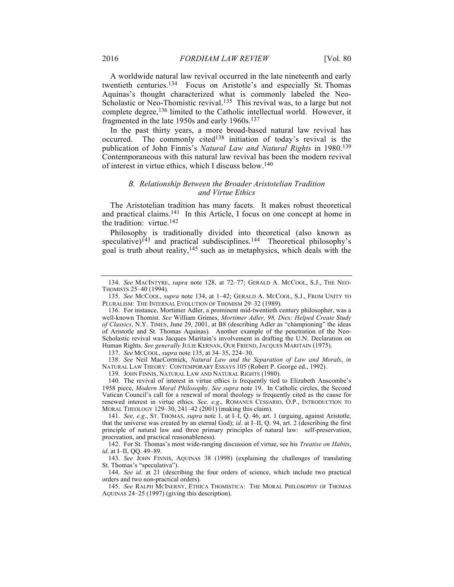A worldwide natural law revival occurred in the late nineteenth and early twentieth centuries.134 Focus on Aristotle's and especially St. Thomas Aquinas's thought characterized what is commonly labeled the Neo-Scholastic or Neo-Thomistic revival.<sup>135</sup> This revival was, to a large but not complete degree,136 limited to the Catholic intellectual world. However, it fragmented in the late 1950s and early 1960s.137

In the past thirty years, a more broad-based natural law revival has occurred. The commonly cited<sup>138</sup> initiation of today's revival is the publication of John Finnis's *Natural Law and Natural Rights* in 1980.139 Contemporaneous with this natural law revival has been the modern revival of interest in virtue ethics, which I discuss below.140

# *B. Relationship Between the Broader Aristotelian Tradition and Virtue Ethics*

The Aristotelian tradition has many facets. It makes robust theoretical and practical claims.141 In this Article, I focus on one concept at home in the tradition: virtue.142

Philosophy is traditionally divided into theoretical (also known as speculative)<sup>143</sup> and practical subdisciplines.<sup>144</sup> Theoretical philosophy's goal is truth about reality,145 such as in metaphysics, which deals with the

137. *See* MCCOOL, *supra* note 135, at 34–35, 224–30.

138. *See* Neil MacCormick, *Natural Law and the Separation of Law and Morals*, *in* NATURAL LAW THEORY: CONTEMPORARY ESSAYS 105 (Robert P. George ed., 1992).

139. JOHN FINNIS, NATURAL LAW AND NATURAL RIGHTS (1980).

140. The revival of interest in virtue ethics is frequently tied to Elizabeth Anscombe's 1958 piece, *Modern Moral Philosophy*. *See supra* note 19. In Catholic circles, the Second Vatican Council's call for a renewal of moral theology is frequently cited as the cause for renewed interest in virtue ethics. *See, e.g*., ROMANUS CESSARIO, O.P., INTRODUCTION TO MORAL THEOLOGY 129–30, 241–42 (2001) (making this claim).

141. *See, e.g*., ST. THOMAS, *supra* note 1, at I–I, Q. 46, art. 1 (arguing, against Aristotle, that the universe was created by an eternal God); *id*. at I–II, Q. 94, art. 2 (describing the first principle of natural law and three primary principles of natural law: self-preservation, procreation, and practical reasonableness).

142. For St. Thomas's most wide-ranging discussion of virtue, see his *Treatise on Habits*, *id*. at I–II, QQ. 49–89.

143. *See* JOHN FINNIS, AQUINAS 38 (1998) (explaining the challenges of translating St. Thomas's "speculativa").

144. *See id*. at 21 (describing the four orders of science, which include two practical orders and two non-practical orders).

145. *See* RALPH MCINERNY, ETHICA THOMISTICA: THE MORAL PHILOSOPHY OF THOMAS AQUINAS 24–25 (1997) (giving this description).

<sup>134.</sup> *See* MACINTYRE, *supra* note 128, at 72–77; GERALD A. MCCOOL, S.J., THE NEO-THOMISTS 25–40 (1994).

<sup>135.</sup> *See* MCCOOL, *supra* note 134, at 1–42; GERALD A. MCCOOL, S.J., FROM UNITY TO PLURALISM: THE INTERNAL EVOLUTION OF THOMISM 29–32 (1989).

<sup>136.</sup> For instance, Mortimer Adler, a prominent mid-twentieth century philosopher, was a well-known Thomist. *See* William Grimes, *Mortimer Adler, 98, Dies; Helped Create Study of Classics*, N.Y. TIMES, June 29, 2001, at B8 (describing Adler as "championing" the ideas of Aristotle and St. Thomas Aquinas). Another example of the penetration of the Neo-Scholastic revival was Jacques Maritain's involvement in drafting the U.N. Declaration on Human Rights. *See generally* JULIE KERNAN, OUR FRIEND, JACQUES MARITAIN (1975).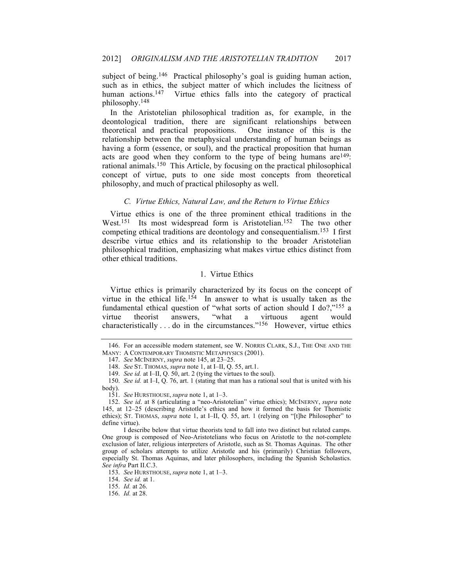subject of being.<sup>146</sup> Practical philosophy's goal is guiding human action, such as in ethics, the subject matter of which includes the licitness of human actions.<sup>147</sup> Virtue ethics falls into the category of practical philosophy.148

In the Aristotelian philosophical tradition as, for example, in the deontological tradition, there are significant relationships between theoretical and practical propositions. One instance of this is the theoretical and practical propositions. relationship between the metaphysical understanding of human beings as having a form (essence, or soul), and the practical proposition that human acts are good when they conform to the type of being humans are<sup>149</sup>: rational animals.150 This Article, by focusing on the practical philosophical concept of virtue, puts to one side most concepts from theoretical philosophy, and much of practical philosophy as well.

### *C. Virtue Ethics, Natural Law, and the Return to Virtue Ethics*

Virtue ethics is one of the three prominent ethical traditions in the West.<sup>151</sup> Its most widespread form is Aristotelian.<sup>152</sup> The two other competing ethical traditions are deontology and consequentialism.153 I first describe virtue ethics and its relationship to the broader Aristotelian philosophical tradition, emphasizing what makes virtue ethics distinct from other ethical traditions.

### 1. Virtue Ethics

Virtue ethics is primarily characterized by its focus on the concept of virtue in the ethical life.<sup>154</sup> In answer to what is usually taken as the fundamental ethical question of "what sorts of action should I do?,"<sup>155</sup> a virtue theorist answers, "what a virtuous agent would virtue theorist answers, "what a virtuous agent would characteristically . . . do in the circumstances."156 However, virtue ethics

<sup>146.</sup> For an accessible modern statement, see W. NORRIS CLARK, S.J., THE ONE AND THE MANY: A CONTEMPORARY THOMISTIC METAPHYSICS (2001).

<sup>147.</sup> *See* MCINERNY, *supra* note 145, at 23–25.

<sup>148.</sup> *See* ST. THOMAS, *supra* note 1, at I–II, Q. 55, art.1.

<sup>149.</sup> *See id.* at I–II, Q. 50, art. 2 (tying the virtues to the soul).

<sup>150.</sup> *See id.* at I–I, Q. 76, art. 1 (stating that man has a rational soul that is united with his body).

<sup>151.</sup> *See* HURSTHOUSE, *supra* note 1, at 1–3.

<sup>152.</sup> *See id*. at 8 (articulating a "neo-Aristotelian" virtue ethics); MCINERNY, *supra* note 145, at 12–25 (describing Aristotle's ethics and how it formed the basis for Thomistic ethics); ST. THOMAS, *supra* note 1, at I–II, Q. 55, art. 1 (relying on "[t]he Philosopher" to define virtue).

I describe below that virtue theorists tend to fall into two distinct but related camps. One group is composed of Neo-Aristotelians who focus on Aristotle to the not-complete exclusion of later, religious interpreters of Aristotle, such as St. Thomas Aquinas. The other group of scholars attempts to utilize Aristotle and his (primarily) Christian followers, especially St. Thomas Aquinas, and later philosophers, including the Spanish Scholastics. *See infra* Part II.C.3.

<sup>153.</sup> *See* HURSTHOUSE, *supra* note 1, at 1–3.

<sup>154.</sup> *See id.* at 1.

<sup>155.</sup> *Id.* at 26.

<sup>156.</sup> *Id.* at 28.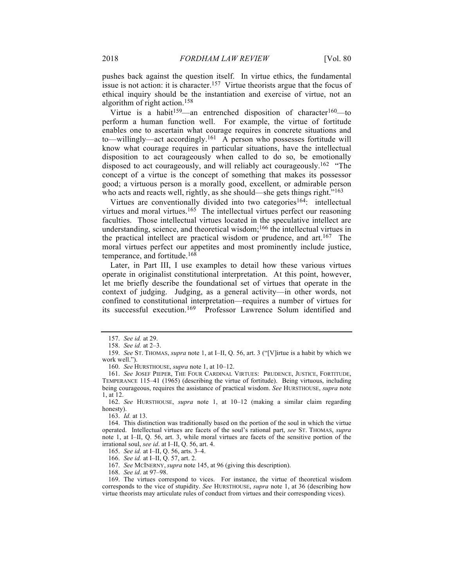pushes back against the question itself. In virtue ethics, the fundamental issue is not action: it is character.157 Virtue theorists argue that the focus of ethical inquiry should be the instantiation and exercise of virtue, not an algorithm of right action.158

Virtue is a habit<sup>159</sup>—an entrenched disposition of character<sup>160</sup>—to perform a human function well. For example, the virtue of fortitude enables one to ascertain what courage requires in concrete situations and to—willingly—act accordingly.161 A person who possesses fortitude will know what courage requires in particular situations, have the intellectual disposition to act courageously when called to do so, be emotionally disposed to act courageously, and will reliably act courageously.162 "The concept of a virtue is the concept of something that makes its possessor good; a virtuous person is a morally good, excellent, or admirable person who acts and reacts well, rightly, as she should—she gets things right."<sup>163</sup>

Virtues are conventionally divided into two categories<sup>164</sup>: intellectual virtues and moral virtues.<sup>165</sup> The intellectual virtues perfect our reasoning faculties. Those intellectual virtues located in the speculative intellect are understanding, science, and theoretical wisdom; <sup>166</sup> the intellectual virtues in the practical intellect are practical wisdom or prudence, and  $art<sup>167</sup>$  The moral virtues perfect our appetites and most prominently include justice, temperance, and fortitude.168

Later, in Part III, I use examples to detail how these various virtues operate in originalist constitutional interpretation. At this point, however, let me briefly describe the foundational set of virtues that operate in the context of judging. Judging, as a general activity—in other words, not confined to constitutional interpretation—requires a number of virtues for its successful execution.169 Professor Lawrence Solum identified and

160. *See* HURSTHOUSE, *supra* note 1, at 10–12.

168. *See id*. at 97–98.

<sup>157.</sup> *See id.* at 29.

<sup>158.</sup> *See id.* at 2–3.

<sup>159.</sup> *See* ST. THOMAS, *supra* note 1, at I–II, Q. 56, art. 3 ("[V]irtue is a habit by which we work well.").

<sup>161.</sup> *See* JOSEF PIEPER, THE FOUR CARDINAL VIRTUES: PRUDENCE, JUSTICE, FORTITUDE, TEMPERANCE 115–41 (1965) (describing the virtue of fortitude). Being virtuous, including being courageous, requires the assistance of practical wisdom. *See* HURSTHOUSE, *supra* note 1, at 12.

<sup>162.</sup> *See* HURSTHOUSE, *supra* note 1, at 10–12 (making a similar claim regarding honesty).

<sup>163.</sup> *Id.* at 13.

<sup>164.</sup> This distinction was traditionally based on the portion of the soul in which the virtue operated. Intellectual virtues are facets of the soul's rational part, *see* ST. THOMAS, *supra* note 1, at I–II, Q. 56, art. 3, while moral virtues are facets of the sensitive portion of the irrational soul, *see id*. at I–II, Q. 56, art. 4.

<sup>165.</sup> *See id.* at I–II, Q. 56, arts. 3–4.

<sup>166.</sup> *See id.* at I–II, Q. 57, art. 2.

<sup>167.</sup> *See* MCINERNY, *supra* note 145, at 96 (giving this description).

<sup>169.</sup> The virtues correspond to vices. For instance, the virtue of theoretical wisdom corresponds to the vice of stupidity. *See* HURSTHOUSE, *supra* note 1, at 36 (describing how virtue theorists may articulate rules of conduct from virtues and their corresponding vices).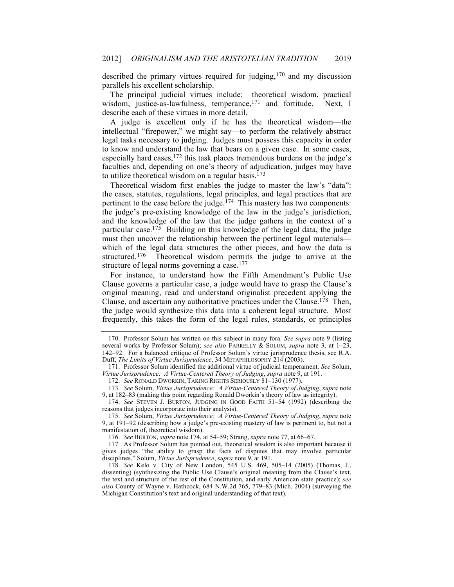described the primary virtues required for judging,170 and my discussion parallels his excellent scholarship.

The principal judicial virtues include: theoretical wisdom, practical wisdom, justice-as-lawfulness, temperance,<sup>171</sup> and fortitude. Next, I describe each of these virtues in more detail.

A judge is excellent only if he has the theoretical wisdom—the intellectual "firepower," we might say—to perform the relatively abstract legal tasks necessary to judging. Judges must possess this capacity in order to know and understand the law that bears on a given case. In some cases, especially hard cases,<sup>172</sup> this task places tremendous burdens on the judge's faculties and, depending on one's theory of adjudication, judges may have to utilize theoretical wisdom on a regular basis.<sup>173</sup>

Theoretical wisdom first enables the judge to master the law's "data": the cases, statutes, regulations, legal principles, and legal practices that are pertinent to the case before the judge.<sup>174</sup> This mastery has two components: the judge's pre-existing knowledge of the law in the judge's jurisdiction, and the knowledge of the law that the judge gathers in the context of a particular case.<sup>175</sup> Building on this knowledge of the legal data, the judge must then uncover the relationship between the pertinent legal materials which of the legal data structures the other pieces, and how the data is structured.<sup>176</sup> Theoretical wisdom permits the judge to arrive at the structure of legal norms governing a case.<sup>177</sup>

For instance, to understand how the Fifth Amendment's Public Use Clause governs a particular case, a judge would have to grasp the Clause's original meaning, read and understand originalist precedent applying the Clause, and ascertain any authoritative practices under the Clause.<sup>178</sup> Then, the judge would synthesize this data into a coherent legal structure. Most frequently, this takes the form of the legal rules, standards, or principles

174. *See* STEVEN J. BURTON, JUDGING IN GOOD FAITH 51–54 (1992) (describing the reasons that judges incorporate into their analysis).

176. *See* BURTON, *supra* note 174, at 54–59; Strang, *supra* note 77, at 66–67.

177. As Professor Solum has pointed out, theoretical wisdom is also important because it gives judges "the ability to grasp the facts of disputes that may involve particular disciplines." Solum, *Virtue Jurisprudence*, *supra* note 9, at 191.

<sup>170.</sup> Professor Solum has written on this subject in many fora. *See supra* note 9 (listing several works by Professor Solum); *see also* FARRELLY & SOLUM, *supra* note 3, at 1–23, 142–92. For a balanced critique of Professor Solum's virtue jurisprudence thesis, see R.A. Duff, *The Limits of Virtue Jurisprudence*, 34 METAPHILOSOPHY 214 (2003).

<sup>171.</sup> Professor Solum identified the additional virtue of judicial temperament. *See* Solum, *Virtue Jurisprudence: A Virtue-Centered Theory of Judging*, *supra* note 9, at 191.

<sup>172.</sup> *See* RONALD DWORKIN, TAKING RIGHTS SERIOUSLY 81–130 (1977).

<sup>173.</sup> *See* Solum, *Virtue Jurisprudence: A Virtue-Centered Theory of Judging*, *supra* note 9, at 182–83 (making this point regarding Ronald Dworkin's theory of law as integrity).

<sup>175.</sup> *See* Solum, *Virtue Jurisprudence: A Virtue-Centered Theory of Judging*, *supra* note 9, at 191–92 (describing how a judge's pre-existing mastery of law is pertinent to, but not a manifestation of, theoretical wisdom).

<sup>178.</sup> *See* Kelo v. City of New London, 545 U.S. 469, 505–14 (2005) (Thomas, J., dissenting) (synthesizing the Public Use Clause's original meaning from the Clause's text, the text and structure of the rest of the Constitution, and early American state practice); *see also* County of Wayne v. Hathcock, 684 N.W.2d 765, 779–83 (Mich. 2004) (surveying the Michigan Constitution's text and original understanding of that text).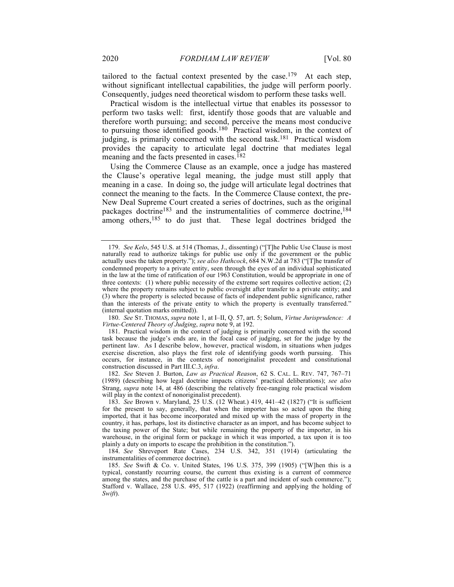tailored to the factual context presented by the case.<sup>179</sup> At each step, without significant intellectual capabilities, the judge will perform poorly. Consequently, judges need theoretical wisdom to perform these tasks well.

Practical wisdom is the intellectual virtue that enables its possessor to perform two tasks well: first, identify those goods that are valuable and therefore worth pursuing; and second, perceive the means most conducive to pursuing those identified goods.180 Practical wisdom, in the context of judging, is primarily concerned with the second task.181 Practical wisdom provides the capacity to articulate legal doctrine that mediates legal meaning and the facts presented in cases.<sup>182</sup>

Using the Commerce Clause as an example, once a judge has mastered the Clause's operative legal meaning, the judge must still apply that meaning in a case. In doing so, the judge will articulate legal doctrines that connect the meaning to the facts. In the Commerce Clause context, the pre-New Deal Supreme Court created a series of doctrines, such as the original packages doctrine<sup>183</sup> and the instrumentalities of commerce doctrine,<sup>184</sup> among others,<sup>185</sup> to do just that. These legal doctrines bridged the

180. *See* ST. THOMAS, *supra* note 1, at I–II, Q. 57, art. 5; Solum, *Virtue Jurisprudence: A Virtue-Centered Theory of Judging*, *supra* note 9, at 192.

<sup>179.</sup> *See Kelo*, 545 U.S. at 514 (Thomas, J., dissenting) ("[T]he Public Use Clause is most naturally read to authorize takings for public use only if the government or the public actually uses the taken property."); *see also Hathcock*, 684 N.W.2d at 783 ("[T]he transfer of condemned property to a private entity, seen through the eyes of an individual sophisticated in the law at the time of ratification of our 1963 Constitution, would be appropriate in one of three contexts: (1) where public necessity of the extreme sort requires collective action; (2) where the property remains subject to public oversight after transfer to a private entity; and (3) where the property is selected because of facts of independent public significance, rather than the interests of the private entity to which the property is eventually transferred." (internal quotation marks omitted)).

<sup>181.</sup> Practical wisdom in the context of judging is primarily concerned with the second task because the judge's ends are, in the focal case of judging, set for the judge by the pertinent law. As I describe below, however, practical wisdom, in situations when judges exercise discretion, also plays the first role of identifying goods worth pursuing. This occurs, for instance, in the contexts of nonoriginalist precedent and constitutional construction discussed in Part III.C.3, *infra*.

<sup>182.</sup> *See* Steven J. Burton, *Law as Practical Reason*, 62 S. CAL. L. REV. 747, 767–71 (1989) (describing how legal doctrine impacts citizens' practical deliberations); *see also* Strang, *supra* note 14, at 486 (describing the relatively free-ranging role practical wisdom will play in the context of nonoriginalist precedent).

<sup>183.</sup> *See* Brown v. Maryland, 25 U.S. (12 Wheat.) 419, 441–42 (1827) ("It is sufficient for the present to say, generally, that when the importer has so acted upon the thing imported, that it has become incorporated and mixed up with the mass of property in the country, it has, perhaps, lost its distinctive character as an import, and has become subject to the taxing power of the State; but while remaining the property of the importer, in his warehouse, in the original form or package in which it was imported, a tax upon it is too plainly a duty on imports to escape the prohibition in the constitution.").

<sup>184.</sup> *See* Shreveport Rate Cases, 234 U.S. 342, 351 (1914) (articulating the instrumentalities of commerce doctrine).

<sup>185.</sup> *See* Swift & Co. v. United States, 196 U.S. 375, 399 (1905) ("[W]hen this is a typical, constantly recurring course, the current thus existing is a current of commerce among the states, and the purchase of the cattle is a part and incident of such commerce."); Stafford v. Wallace, 258 U.S. 495, 517 (1922) (reaffirming and applying the holding of *Swift*).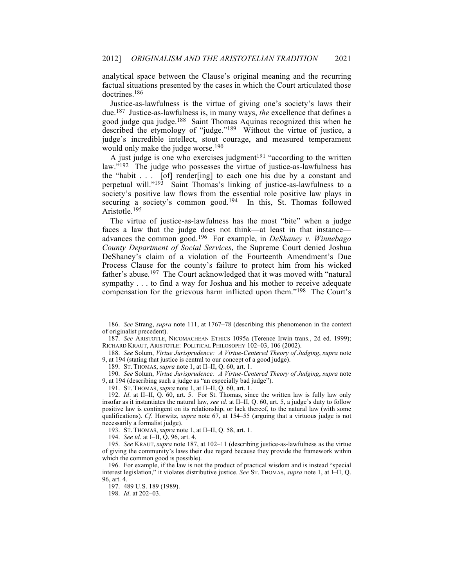analytical space between the Clause's original meaning and the recurring factual situations presented by the cases in which the Court articulated those doctrines.186

Justice-as-lawfulness is the virtue of giving one's society's laws their due.187 Justice-as-lawfulness is, in many ways, *the* excellence that defines a good judge qua judge.188 Saint Thomas Aquinas recognized this when he described the etymology of "judge."189 Without the virtue of justice, a judge's incredible intellect, stout courage, and measured temperament would only make the judge worse.<sup>190</sup>

A just judge is one who exercises judgment<sup>191</sup> "according to the written law."<sup>192</sup> The judge who possesses the virtue of justice-as-lawfulness has the "habit . . . [of] render[ing] to each one his due by a constant and perpetual will."193 Saint Thomas's linking of justice-as-lawfulness to a society's positive law flows from the essential role positive law plays in securing a society's common good.<sup>194</sup> In this, St. Thomas followed Aristotle.195

The virtue of justice-as-lawfulness has the most "bite" when a judge faces a law that the judge does not think—at least in that instance advances the common good.196 For example, in *DeShaney v. Winnebago County Department of Social Services*, the Supreme Court denied Joshua DeShaney's claim of a violation of the Fourteenth Amendment's Due Process Clause for the county's failure to protect him from his wicked father's abuse.197 The Court acknowledged that it was moved with "natural sympathy . . . to find a way for Joshua and his mother to receive adequate compensation for the grievous harm inflicted upon them."198 The Court's

<sup>186.</sup> *See* Strang, *supra* note 111, at 1767–78 (describing this phenomenon in the context of originalist precedent).

<sup>187.</sup> *See* ARISTOTLE, NICOMACHEAN ETHICS 1095a (Terence Irwin trans., 2d ed. 1999); RICHARD KRAUT, ARISTOTLE: POLITICAL PHILOSOPHY 102–03, 106 (2002).

<sup>188.</sup> *See* Solum, *Virtue Jurisprudence: A Virtue-Centered Theory of Judging*, *supra* note 9, at 194 (stating that justice is central to our concept of a good judge).

<sup>189.</sup> ST. THOMAS, *supra* note 1, at II–II, Q. 60, art. 1.

<sup>190.</sup> *See* Solum, *Virtue Jurisprudence: A Virtue-Centered Theory of Judging*, *supra* note 9, at 194 (describing such a judge as "an especially bad judge").

<sup>191.</sup> ST. THOMAS, *supra* note 1, at II–II, Q. 60, art. 1.

<sup>192.</sup> *Id*. at II–II, Q. 60, art. 5. For St. Thomas, since the written law is fully law only insofar as it instantiates the natural law, *see id*. at II–II, Q. 60, art. 5, a judge's duty to follow positive law is contingent on its relationship, or lack thereof, to the natural law (with some qualifications). *Cf.* Horwitz, *supra* note 67, at 154–55 (arguing that a virtuous judge is not necessarily a formalist judge).

<sup>193.</sup> ST. THOMAS, *supra* note 1, at II–II, Q. 58, art. 1.

<sup>194.</sup> *See id*. at I–II, Q. 96, art. 4.

<sup>195.</sup> *See* KRAUT, *supra* note 187, at 102–11 (describing justice-as-lawfulness as the virtue of giving the community's laws their due regard because they provide the framework within which the common good is possible).

<sup>196.</sup> For example, if the law is not the product of practical wisdom and is instead "special interest legislation," it violates distributive justice. *See* ST. THOMAS, *supra* note 1, at I–II, Q. 96, art. 4.

<sup>197.</sup> 489 U.S. 189 (1989).

<sup>198.</sup> *Id*. at 202–03.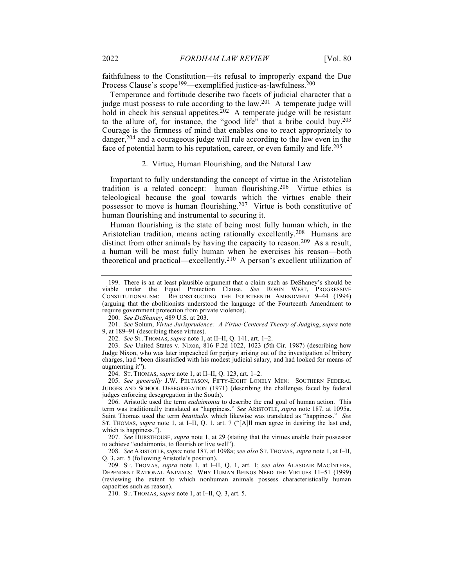faithfulness to the Constitution—its refusal to improperly expand the Due Process Clause's scope<sup>199</sup>—exemplified justice-as-lawfulness.<sup>200</sup>

Temperance and fortitude describe two facets of judicial character that a judge must possess to rule according to the law.<sup>201</sup> A temperate judge will hold in check his sensual appetites.<sup>202</sup> A temperate judge will be resistant to the allure of, for instance, the "good life" that a bribe could buy.<sup>203</sup> Courage is the firmness of mind that enables one to react appropriately to danger,<sup>204</sup> and a courageous judge will rule according to the law even in the face of potential harm to his reputation, career, or even family and life.205

#### 2. Virtue, Human Flourishing, and the Natural Law

Important to fully understanding the concept of virtue in the Aristotelian tradition is a related concept: human flourishing.206 Virtue ethics is teleological because the goal towards which the virtues enable their possessor to move is human flourishing.207 Virtue is both constitutive of human flourishing and instrumental to securing it.

Human flourishing is the state of being most fully human which, in the Aristotelian tradition, means acting rationally excellently.208 Humans are distinct from other animals by having the capacity to reason.<sup>209</sup> As a result, a human will be most fully human when he exercises his reason—both theoretical and practical—excellently.210 A person's excellent utilization of

200. *See DeShaney*, 489 U.S. at 203.

201. *See* Solum, *Virtue Jurisprudence: A Virtue-Centered Theory of Judging*, *supra* note 9, at 189–91 (describing these virtues).

202. *See* ST. THOMAS, *supra* note 1, at II–II, Q. 141, art. 1–2.

203. *See* United States v. Nixon, 816 F.2d 1022, 1023 (5th Cir. 1987) (describing how Judge Nixon, who was later impeached for perjury arising out of the investigation of bribery charges, had "been dissatisfied with his modest judicial salary, and had looked for means of augmenting it").

204. ST. THOMAS, *supra* note 1, at II–II, Q. 123, art. 1–2.

205. *See generally* J.W. PELTASON, FIFTY-EIGHT LONELY MEN: SOUTHERN FEDERAL JUDGES AND SCHOOL DESEGREGATION (1971) (describing the challenges faced by federal judges enforcing desegregation in the South).

206. Aristotle used the term *eudaimonia* to describe the end goal of human action. This term was traditionally translated as "happiness." *See* ARISTOTLE, *supra* note 187, at 1095a. Saint Thomas used the term *beatitudo*, which likewise was translated as "happiness." *See* ST. THOMAS, *supra* note 1, at I–II, Q. 1, art. 7 ("[A]ll men agree in desiring the last end, which is happiness.").

207. *See* HURSTHOUSE, *supra* note 1, at 29 (stating that the virtues enable their possessor to achieve "eudaimonia, to flourish or live well").

208. *See* ARISTOTLE, *supra* note 187, at 1098a; *see also* ST. THOMAS, *supra* note 1, at I–II, Q. 3, art. 5 (following Aristotle's position).

209. ST. THOMAS, *supra* note 1, at I–II, Q. 1, art. 1; *see also* ALASDAIR MACINTYRE, DEPENDENT RATIONAL ANIMALS: WHY HUMAN BEINGS NEED THE VIRTUES 11–51 (1999) (reviewing the extent to which nonhuman animals possess characteristically human capacities such as reason).

210. ST. THOMAS, *supra* note 1, at I–II, Q. 3, art. 5.

<sup>199.</sup> There is an at least plausible argument that a claim such as DeShaney's should be viable under the Equal Protection Clause. *See* ROBIN WEST, PROGRESSIVE CONSTITUTIONALISM: RECONSTRUCTING THE FOURTEENTH AMENDMENT 9–44 (1994) (arguing that the abolitionists understood the language of the Fourteenth Amendment to require government protection from private violence).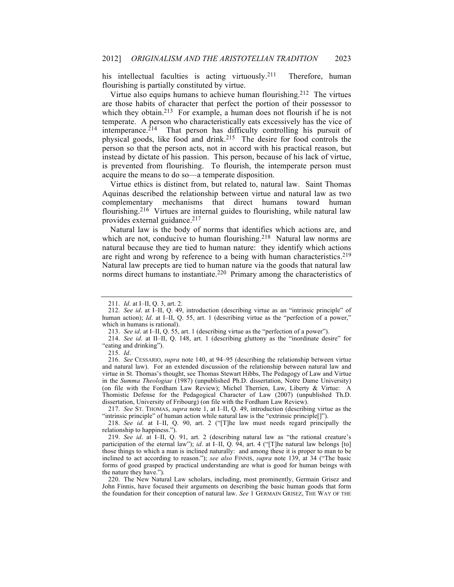his intellectual faculties is acting virtuously.<sup>211</sup> Therefore, human flourishing is partially constituted by virtue.

Virtue also equips humans to achieve human flourishing.<sup>212</sup> The virtues are those habits of character that perfect the portion of their possessor to which they obtain.<sup>213</sup> For example, a human does not flourish if he is not temperate. A person who characteristically eats excessively has the vice of intemperance. $2^{14}$  That person has difficulty controlling his pursuit of physical goods, like food and drink.215 The desire for food controls the person so that the person acts, not in accord with his practical reason, but instead by dictate of his passion. This person, because of his lack of virtue, is prevented from flourishing. To flourish, the intemperate person must acquire the means to do so—a temperate disposition.

Virtue ethics is distinct from, but related to, natural law. Saint Thomas Aquinas described the relationship between virtue and natural law as two complementary mechanisms that direct humans toward human flourishing.216 Virtues are internal guides to flourishing, while natural law provides external guidance.<sup>217</sup>

Natural law is the body of norms that identifies which actions are, and which are not, conducive to human flourishing.<sup>218</sup> Natural law norms are natural because they are tied to human nature: they identify which actions are right and wrong by reference to a being with human characteristics.219 Natural law precepts are tied to human nature via the goods that natural law norms direct humans to instantiate.<sup>220</sup> Primary among the characteristics of

215. *Id*.

<sup>211.</sup> *Id*. at I–II, Q. 3, art. 2.

<sup>212.</sup> *See id*. at I–II, Q. 49, introduction (describing virtue as an "intrinsic principle" of human action); *Id.* at I–II, Q. 55, art. 1 (describing virtue as the "perfection of a power," which in humans is rational).

<sup>213.</sup> *See id*. at I–II, Q. 55, art. 1 (describing virtue as the "perfection of a power").

<sup>214.</sup> *See id*. at II–II, Q. 148, art. 1 (describing gluttony as the "inordinate desire" for "eating and drinking").

<sup>216.</sup> *See* CESSARIO, *supra* note 140, at 94–95 (describing the relationship between virtue and natural law). For an extended discussion of the relationship between natural law and virtue in St. Thomas's thought, see Thomas Stewart Hibbs, The Pedagogy of Law and Virtue in the *Summa Theologiae* (1987) (unpublished Ph.D. dissertation, Notre Dame University) (on file with the Fordham Law Review); Michel Therrien, Law, Liberty & Virtue: A Thomistic Defense for the Pedagogical Character of Law (2007) (unpublished Th.D. dissertation, University of Fribourg) (on file with the Fordham Law Review).

<sup>217.</sup> *See* ST. THOMAS, *supra* note 1, at I–II, Q. 49, introduction (describing virtue as the "intrinsic principle" of human action while natural law is the "extrinsic principle[]").

<sup>218.</sup> *See id*. at I–II, Q. 90, art. 2 ("[T]he law must needs regard principally the relationship to happiness.").

<sup>219.</sup> *See id*. at I–II, Q. 91, art. 2 (describing natural law as "the rational creature's participation of the eternal law"); *id.* at I–II, Q. 94, art. 4 ("[T]he natural law belongs [to] those things to which a man is inclined naturally: and among these it is proper to man to be inclined to act according to reason."); *see also* FINNIS, *supra* note 139, at 34 ("The basic forms of good grasped by practical understanding are what is good for human beings with the nature they have.").

<sup>220.</sup> The New Natural Law scholars, including, most prominently, Germain Grisez and John Finnis, have focused their arguments on describing the basic human goods that form the foundation for their conception of natural law. *See* 1 GERMAIN GRISEZ, THE WAY OF THE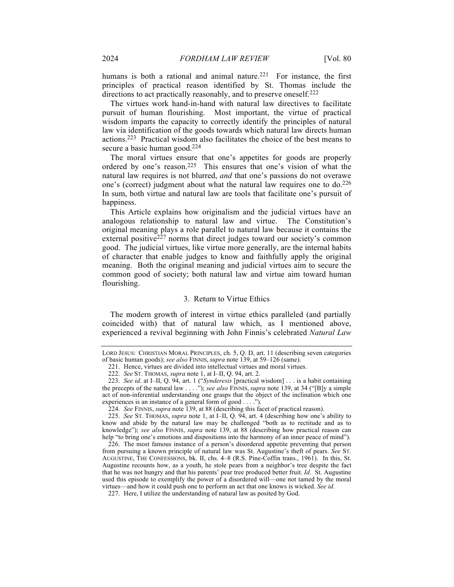humans is both a rational and animal nature.<sup>221</sup> For instance, the first principles of practical reason identified by St. Thomas include the directions to act practically reasonably, and to preserve oneself.<sup>222</sup>

The virtues work hand-in-hand with natural law directives to facilitate pursuit of human flourishing. Most important, the virtue of practical wisdom imparts the capacity to correctly identify the principles of natural law via identification of the goods towards which natural law directs human actions.223 Practical wisdom also facilitates the choice of the best means to secure a basic human good.<sup>224</sup>

The moral virtues ensure that one's appetites for goods are properly ordered by one's reason.<sup>225</sup> This ensures that one's vision of what the natural law requires is not blurred, *and* that one's passions do not overawe one's (correct) judgment about what the natural law requires one to do.226 In sum, both virtue and natural law are tools that facilitate one's pursuit of happiness.

This Article explains how originalism and the judicial virtues have an analogous relationship to natural law and virtue. The Constitution's original meaning plays a role parallel to natural law because it contains the external positive $227$  norms that direct judges toward our society's common good. The judicial virtues, like virtue more generally, are the internal habits of character that enable judges to know and faithfully apply the original meaning. Both the original meaning and judicial virtues aim to secure the common good of society; both natural law and virtue aim toward human flourishing.

#### 3. Return to Virtue Ethics

The modern growth of interest in virtue ethics paralleled (and partially coincided with) that of natural law which, as I mentioned above, experienced a revival beginning with John Finnis's celebrated *Natural Law* 

LORD JESUS: CHRISTIAN MORAL PRINCIPLES, ch. 5, Q. D, art. 11 (describing seven categories of basic human goods); *see also* FINNIS, *supra* note 139, at 59–126 (same).

<sup>221.</sup> Hence, virtues are divided into intellectual virtues and moral virtues.

<sup>222.</sup> *See* ST. THOMAS, *supra* note 1, at I–II, Q. 94, art. 2.

<sup>223.</sup> *See id*. at I–II, Q. 94, art. 1 ("*Synderesis* [practical wisdom] . . . is a habit containing the precepts of the natural law . . . ."); *see also* FINNIS, *supra* note 139, at 34 ("[B]y a simple act of non-inferential understanding one grasps that the object of the inclination which one experiences is an instance of a general form of good . . . .").

<sup>224.</sup> *See* FINNIS, *supra* note 139, at 88 (describing this facet of practical reason).

<sup>225.</sup> *See* ST. THOMAS, *supra* note 1, at I–II, Q. 94, art. 4 (describing how one's ability to know and abide by the natural law may be challenged "both as to rectitude and as to knowledge"); *see also* FINNIS, *supra* note 139, at 88 (describing how practical reason can help "to bring one's emotions and dispositions into the harmony of an inner peace of mind").

<sup>226.</sup> The most famous instance of a person's disordered appetite preventing that person from pursuing a known principle of natural law was St. Augustine's theft of pears. *See* ST. AUGUSTINE, THE CONFESSIONS, bk. II, chs. 4–8 (R.S. Pine-Coffin trans., 1961). In this, St. Augustine recounts how, as a youth, he stole pears from a neighbor's tree despite the fact that he was not hungry and that his parents' pear tree produced better fruit. *Id*. St. Augustine used this episode to exemplify the power of a disordered will—one not tamed by the moral virtues—and how it could push one to perform an act that one knows is wicked. *See id.*

<sup>227.</sup> Here, I utilize the understanding of natural law as posited by God.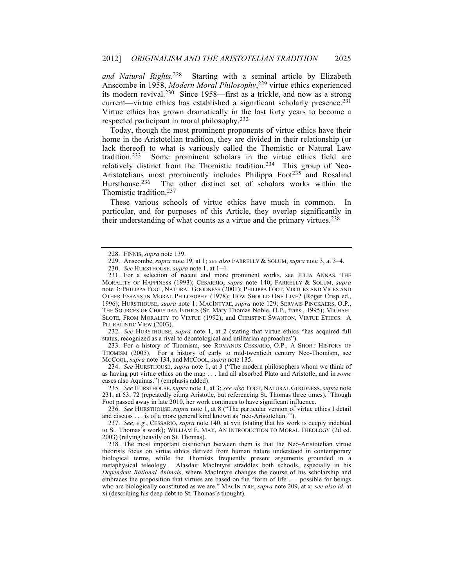*and Natural Rights*. 228 Starting with a seminal article by Elizabeth Anscombe in 1958, *Modern Moral Philosophy*, <sup>229</sup> virtue ethics experienced its modern revival.230 Since 1958—first as a trickle, and now as a strong current—virtue ethics has established a significant scholarly presence.<sup>231</sup> Virtue ethics has grown dramatically in the last forty years to become a respected participant in moral philosophy.232

Today, though the most prominent proponents of virtue ethics have their home in the Aristotelian tradition, they are divided in their relationship (or lack thereof) to what is variously called the Thomistic or Natural Law tradition.233 Some prominent scholars in the virtue ethics field are relatively distinct from the Thomistic tradition.234 This group of Neo-Aristotelians most prominently includes Philippa Foot<sup>235</sup> and Rosalind Hursthouse.<sup>236</sup> The other distinct set of scholars works within the Thomistic tradition.237

These various schools of virtue ethics have much in common. In particular, and for purposes of this Article, they overlap significantly in their understanding of what counts as a virtue and the primary virtues.<sup>238</sup>

232. *See* HURSTHOUSE, *supra* note 1, at 2 (stating that virtue ethics "has acquired full status, recognized as a rival to deontological and utilitarian approaches").

233. For a history of Thomism, see ROMANUS CESSARIO, O.P., A SHORT HISTORY OF THOMISM (2005). For a history of early to mid-twentieth century Neo-Thomism, see MCCOOL, *supra* note 134, and MCCOOL, *supra* note 135.

234. *See* HURSTHOUSE, *supra* note 1, at 3 ("The modern philosophers whom we think of as having put virtue ethics on the map . . . had all absorbed Plato and Aristotle, and in *some* cases also Aquinas.") (emphasis added).

235. *See* HURSTHOUSE, *supra* note 1, at 3; *see also* FOOT, NATURAL GOODNESS, *supra* note 231, at 53, 72 (repeatedly citing Aristotle, but referencing St. Thomas three times). Though Foot passed away in late 2010, her work continues to have significant influence.

236. *See* HURSTHOUSE, *supra* note 1, at 8 ("The particular version of virtue ethics I detail and discuss . . . is of a more general kind known as 'neo-Aristotelian.'").

237. *See, e.g.*, CESSARIO, *supra* note 140, at xvii (stating that his work is deeply indebted to St. Thomas's work); WILLIAM E. MAY, AN INTRODUCTION TO MORAL THEOLOGY (2d ed. 2003) (relying heavily on St. Thomas).

238. The most important distinction between them is that the Neo-Aristotelian virtue theorists focus on virtue ethics derived from human nature understood in contemporary biological terms, while the Thomists frequently present arguments grounded in a metaphysical teleology. Alasdair MacIntyre straddles both schools, especially in his *Dependent Rational Animals*, where MacIntyre changes the course of his scholarship and embraces the proposition that virtues are based on the "form of life . . . possible for beings who are biologically constituted as we are." MACINTYRE, *supra* note 209, at x; *see also id*. at xi (describing his deep debt to St. Thomas's thought).

<sup>228.</sup> FINNIS, *supra* note 139.

<sup>229.</sup> Anscombe, *supra* note 19, at 1; *see also* FARRELLY & SOLUM, *supra* note 3, at 3–4.

<sup>230.</sup> *See* HURSTHOUSE, *supra* note 1, at 1–4.

<sup>231.</sup> For a selection of recent and more prominent works, see JULIA ANNAS, THE MORALITY OF HAPPINESS (1993); CESARRIO, *supra* note 140; FARRELLY & SOLUM, *supra* note 3; PHILIPPA FOOT, NATURAL GOODNESS (2001); PHILIPPA FOOT, VIRTUES AND VICES AND OTHER ESSAYS IN MORAL PHILOSOPHY (1978); HOW SHOULD ONE LIVE? (Roger Crisp ed., 1996); HURSTHOUSE, *supra* note 1; MACINTYRE, *supra* note 129; SERVAIS PINCKAERS, O.P., THE SOURCES OF CHRISTIAN ETHICS (Sr. Mary Thomas Noble, O.P., trans., 1995); MICHAEL SLOTE, FROM MORALITY TO VIRTUE (1992); and CHRISTINE SWANTON, VIRTUE ETHICS: A PLURALISTIC VIEW (2003).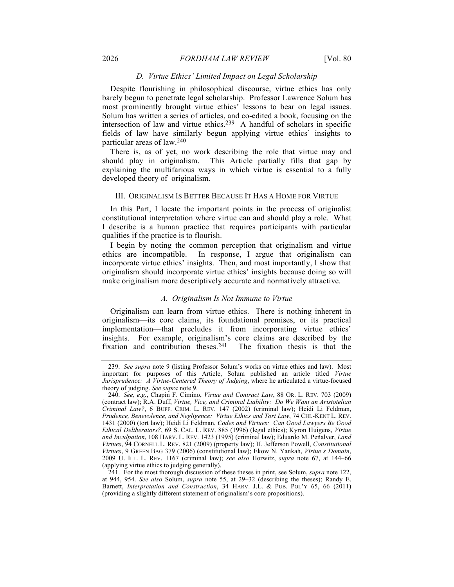#### 2026 *FORDHAM LAW REVIEW* [Vol. 80

#### *D. Virtue Ethics' Limited Impact on Legal Scholarship*

Despite flourishing in philosophical discourse, virtue ethics has only barely begun to penetrate legal scholarship. Professor Lawrence Solum has most prominently brought virtue ethics' lessons to bear on legal issues. Solum has written a series of articles, and co-edited a book, focusing on the intersection of law and virtue ethics.239 A handful of scholars in specific fields of law have similarly begun applying virtue ethics' insights to particular areas of law.240

There is, as of yet, no work describing the role that virtue may and should play in originalism. This Article partially fills that gap by explaining the multifarious ways in which virtue is essential to a fully developed theory of originalism.

#### III. ORIGINALISM IS BETTER BECAUSE IT HAS A HOME FOR VIRTUE

In this Part, I locate the important points in the process of originalist constitutional interpretation where virtue can and should play a role. What I describe is a human practice that requires participants with particular qualities if the practice is to flourish.

I begin by noting the common perception that originalism and virtue ethics are incompatible. In response, I argue that originalism can incorporate virtue ethics' insights. Then, and most importantly, I show that originalism should incorporate virtue ethics' insights because doing so will make originalism more descriptively accurate and normatively attractive.

#### *A. Originalism Is Not Immune to Virtue*

Originalism can learn from virtue ethics. There is nothing inherent in originalism—its core claims, its foundational premises, or its practical implementation—that precludes it from incorporating virtue ethics' insights. For example, originalism's core claims are described by the fixation and contribution theses.241 The fixation thesis is that the

<sup>239.</sup> *See supra* note 9 (listing Professor Solum's works on virtue ethics and law). Most important for purposes of this Article, Solum published an article titled *Virtue Jurisprudence: A Virtue-Centered Theory of Judging*, where he articulated a virtue-focused theory of judging. *See supra* note 9.

<sup>240.</sup> *See, e.g.*, Chapin F. Cimino, *Virtue and Contract Law*, 88 OR. L. REV. 703 (2009) (contract law); R.A. Duff, *Virtue, Vice, and Criminal Liability: Do We Want an Aristotelian Criminal Law?*, 6 BUFF. CRIM. L. REV. 147 (2002) (criminal law); Heidi Li Feldman, *Prudence, Benevolence, and Negligence: Virtue Ethics and Tort Law*, 74 CHI.-KENT L. REV. 1431 (2000) (tort law); Heidi Li Feldman, *Codes and Virtues: Can Good Lawyers Be Good Ethical Deliberators?*, 69 S. CAL. L. REV. 885 (1996) (legal ethics); Kyron Huigens, *Virtue and Inculpation*, 108 HARV. L. REV. 1423 (1995) (criminal law); Eduardo M. Peñalver, *Land Virtues*, 94 CORNELL L. REV. 821 (2009) (property law); H. Jefferson Powell, *Constitutional Virtues*, 9 GREEN BAG 379 (2006) (constitutional law); Ekow N. Yankah, *Virtue's Domain*, 2009 U. ILL. L. REV. 1167 (criminal law); *see also* Horwitz, *supra* note 67, at 144–66 (applying virtue ethics to judging generally).

<sup>241.</sup> For the most thorough discussion of these theses in print, see Solum, *supra* note 122, at 944, 954. *See also* Solum, *supra* note 55, at 29–32 (describing the theses); Randy E. Barnett, *Interpretation and Construction*, 34 HARV. J.L. & PUB. POL'Y 65, 66 (2011) (providing a slightly different statement of originalism's core propositions).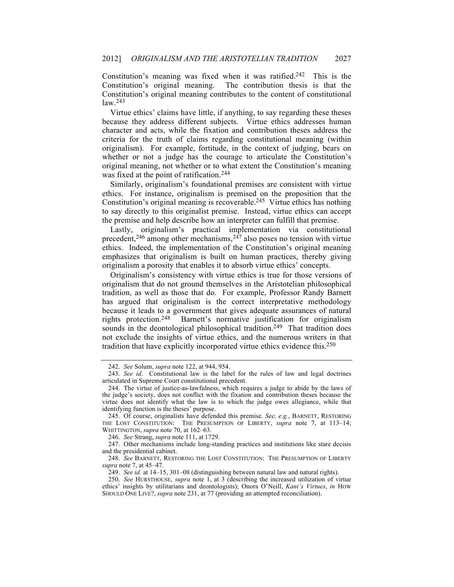Constitution's meaning was fixed when it was ratified.<sup>242</sup> This is the Constitution's original meaning. The contribution thesis is that the Constitution's original meaning contributes to the content of constitutional law.243

Virtue ethics' claims have little, if anything, to say regarding these theses because they address different subjects. Virtue ethics addresses human character and acts, while the fixation and contribution theses address the criteria for the truth of claims regarding constitutional meaning (within originalism). For example, fortitude, in the context of judging, bears on whether or not a judge has the courage to articulate the Constitution's original meaning, not whether or to what extent the Constitution's meaning was fixed at the point of ratification.<sup>244</sup>

Similarly, originalism's foundational premises are consistent with virtue ethics. For instance, originalism is premised on the proposition that the Constitution's original meaning is recoverable.245 Virtue ethics has nothing to say directly to this originalist premise. Instead, virtue ethics can accept the premise and help describe how an interpreter can fulfill that premise.

Lastly, originalism's practical implementation via constitutional precedent,<sup>246</sup> among other mechanisms,<sup>247</sup> also poses no tension with virtue ethics. Indeed, the implementation of the Constitution's original meaning emphasizes that originalism is built on human practices, thereby giving originalism a porosity that enables it to absorb virtue ethics' concepts.

Originalism's consistency with virtue ethics is true for those versions of originalism that do not ground themselves in the Aristotelian philosophical tradition, as well as those that do. For example, Professor Randy Barnett has argued that originalism is the correct interpretative methodology because it leads to a government that gives adequate assurances of natural rights protection.248 Barnett's normative justification for originalism sounds in the deontological philosophical tradition.<sup>249</sup> That tradition does not exclude the insights of virtue ethics, and the numerous writers in that tradition that have explicitly incorporated virtue ethics evidence this.250

246. *See* Strang, *supra* note 111, at 1729.

247. Other mechanisms include long-standing practices and institutions like stare decisis and the presidential cabinet.

<sup>242.</sup> *See* Solum, *supra* note 122, at 944, 954.

<sup>243.</sup> *See id*. Constitutional law is the label for the rules of law and legal doctrines articulated in Supreme Court constitutional precedent.

<sup>244.</sup> The virtue of justice-as-lawfulness, which requires a judge to abide by the laws of the judge's society, does not conflict with the fixation and contribution theses because the virtue does not identify what the law is to which the judge owes allegiance, while that identifying function is the theses' purpose.

<sup>245.</sup> Of course, originalists have defended this premise. *See, e.g.*, BARNETT, RESTORING THE LOST CONSTITUTION: THE PRESUMPTION OF LIBERTY, *supra* note 7, at 113–14; WHITTINGTON, *supra* note 70, at 162–63.

<sup>248.</sup> *See* BARNETT, RESTORING THE LOST CONSTITUTION: THE PRESUMPTION OF LIBERTY *supra* note 7, at 45–47.

<sup>249.</sup> *See id.* at 14–15, 301–08 (distinguishing between natural law and natural rights).

<sup>250.</sup> *See* HURSTHOUSE, *supra* note 1, at 3 (describing the increased utilization of virtue ethics' insights by utilitarians and deontologists); Onora O'Neill, *Kant's Virtues*, *in* HOW SHOULD ONE LIVE?, *supra* note 231, at 77 (providing an attempted reconciliation).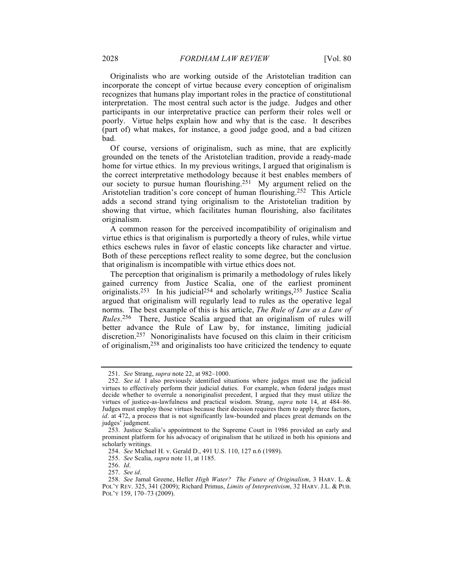Originalists who are working outside of the Aristotelian tradition can incorporate the concept of virtue because every conception of originalism recognizes that humans play important roles in the practice of constitutional interpretation. The most central such actor is the judge. Judges and other participants in our interpretative practice can perform their roles well or poorly. Virtue helps explain how and why that is the case. It describes (part of) what makes, for instance, a good judge good, and a bad citizen bad.

Of course, versions of originalism, such as mine, that are explicitly grounded on the tenets of the Aristotelian tradition, provide a ready-made home for virtue ethics. In my previous writings, I argued that originalism is the correct interpretative methodology because it best enables members of our society to pursue human flourishing.251 My argument relied on the Aristotelian tradition's core concept of human flourishing.252 This Article adds a second strand tying originalism to the Aristotelian tradition by showing that virtue, which facilitates human flourishing, also facilitates originalism.

A common reason for the perceived incompatibility of originalism and virtue ethics is that originalism is purportedly a theory of rules, while virtue ethics eschews rules in favor of elastic concepts like character and virtue. Both of these perceptions reflect reality to some degree, but the conclusion that originalism is incompatible with virtue ethics does not.

The perception that originalism is primarily a methodology of rules likely gained currency from Justice Scalia, one of the earliest prominent originalists.<sup>253</sup> In his judicial<sup>254</sup> and scholarly writings,<sup>255</sup> Justice Scalia argued that originalism will regularly lead to rules as the operative legal norms. The best example of this is his article, *The Rule of Law as a Law of Rules*. 256 There, Justice Scalia argued that an originalism of rules will better advance the Rule of Law by, for instance, limiting judicial discretion.257 Nonoriginalists have focused on this claim in their criticism of originalism,258 and originalists too have criticized the tendency to equate

<sup>251.</sup> *See* Strang, *supra* note 22, at 982–1000.

<sup>252.</sup> *See id.* I also previously identified situations where judges must use the judicial virtues to effectively perform their judicial duties. For example, when federal judges must decide whether to overrule a nonoriginalist precedent, I argued that they must utilize the virtues of justice-as-lawfulness and practical wisdom. Strang, *supra* note 14, at 484–86. Judges must employ those virtues because their decision requires them to apply three factors, *id*. at 472, a process that is not significantly law-bounded and places great demands on the judges' judgment.

<sup>253.</sup> Justice Scalia's appointment to the Supreme Court in 1986 provided an early and prominent platform for his advocacy of originalism that he utilized in both his opinions and scholarly writings.

<sup>254.</sup> *See* Michael H. v. Gerald D., 491 U.S. 110, 127 n.6 (1989).

<sup>255.</sup> *See* Scalia, *supra* note 11, at 1185.

<sup>256.</sup> *Id*.

<sup>257.</sup> *See id*.

<sup>258.</sup> *See* Jamal Greene, Heller *High Water? The Future of Originalism*, 3 HARV. L. & POL'Y REV. 325, 341 (2009); Richard Primus, *Limits of Interpretivism*, 32 HARV. J.L. & PUB. POL'Y 159, 170–73 (2009).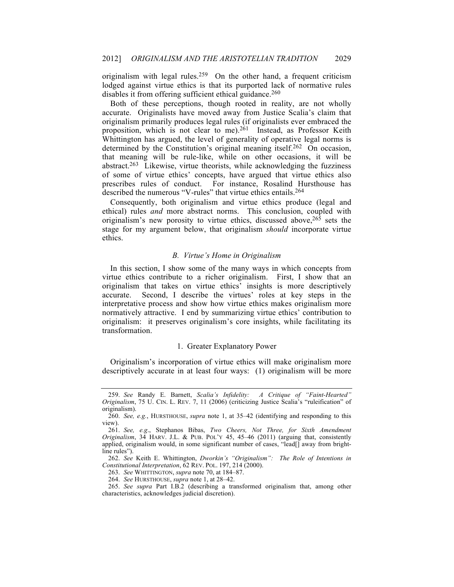originalism with legal rules.<sup>259</sup> On the other hand, a frequent criticism lodged against virtue ethics is that its purported lack of normative rules disables it from offering sufficient ethical guidance.<sup>260</sup>

Both of these perceptions, though rooted in reality, are not wholly accurate. Originalists have moved away from Justice Scalia's claim that originalism primarily produces legal rules (if originalists ever embraced the proposition, which is not clear to me).<sup>261</sup> Instead, as Professor Keith Whittington has argued, the level of generality of operative legal norms is determined by the Constitution's original meaning itself.<sup>262</sup> On occasion, that meaning will be rule-like, while on other occasions, it will be abstract.263 Likewise, virtue theorists, while acknowledging the fuzziness of some of virtue ethics' concepts, have argued that virtue ethics also prescribes rules of conduct. For instance, Rosalind Hursthouse has described the numerous "V-rules" that virtue ethics entails.<sup>264</sup>

Consequently, both originalism and virtue ethics produce (legal and ethical) rules *and* more abstract norms. This conclusion, coupled with originalism's new porosity to virtue ethics, discussed above,  $26\overline{5}$  sets the stage for my argument below, that originalism *should* incorporate virtue ethics.

### *B. Virtue's Home in Originalism*

In this section, I show some of the many ways in which concepts from virtue ethics contribute to a richer originalism. First, I show that an originalism that takes on virtue ethics' insights is more descriptively accurate. Second, I describe the virtues' roles at key steps in the interpretative process and show how virtue ethics makes originalism more normatively attractive. I end by summarizing virtue ethics' contribution to originalism: it preserves originalism's core insights, while facilitating its transformation.

# 1. Greater Explanatory Power

Originalism's incorporation of virtue ethics will make originalism more descriptively accurate in at least four ways: (1) originalism will be more

<sup>259.</sup> *See* Randy E. Barnett, *Scalia's Infidelity: A Critique of "Faint-Hearted" Originalism*, 75 U. CIN. L. REV. 7, 11 (2006) (criticizing Justice Scalia's "ruleification" of originalism).

<sup>260.</sup> *See, e.g.*, HURSTHOUSE, *supra* note 1, at 35–42 (identifying and responding to this view).

<sup>261.</sup> *See, e.g*., Stephanos Bibas, *Two Cheers, Not Three, for Sixth Amendment Originalism*, 34 HARV. J.L. & PUB. POL'Y 45, 45–46 (2011) (arguing that, consistently applied, originalism would, in some significant number of cases, "lead[] away from brightline rules").

<sup>262.</sup> *See* Keith E. Whittington, *Dworkin's "Originalism": The Role of Intentions in Constitutional Interpretation*, 62 REV. POL. 197, 214 (2000).

<sup>263.</sup> *See* WHITTINGTON, *supra* note 70, at 184–87.

<sup>264.</sup> *See* HURSTHOUSE, *supra* note 1, at 28–42.

<sup>265.</sup> *See supra* Part I.B.2 (describing a transformed originalism that, among other characteristics, acknowledges judicial discretion).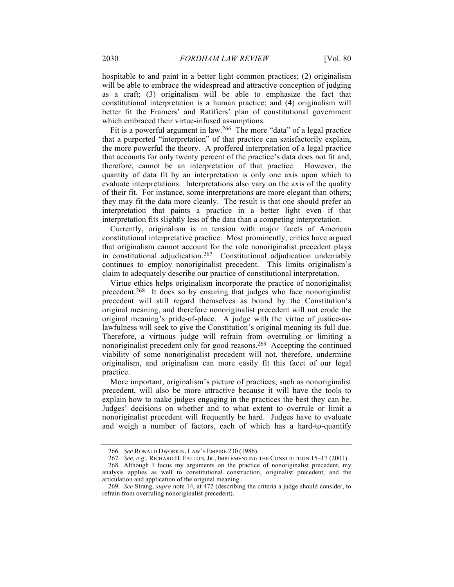hospitable to and paint in a better light common practices; (2) originalism will be able to embrace the widespread and attractive conception of judging as a craft; (3) originalism will be able to emphasize the fact that constitutional interpretation is a human practice; and (4) originalism will better fit the Framers' and Ratifiers' plan of constitutional government which embraced their virtue-infused assumptions.

Fit is a powerful argument in law.266 The more "data" of a legal practice that a purported "interpretation" of that practice can satisfactorily explain, the more powerful the theory. A proffered interpretation of a legal practice that accounts for only twenty percent of the practice's data does not fit and, therefore, cannot be an interpretation of that practice. However, the quantity of data fit by an interpretation is only one axis upon which to evaluate interpretations. Interpretations also vary on the axis of the quality of their fit. For instance, some interpretations are more elegant than others; they may fit the data more cleanly. The result is that one should prefer an interpretation that paints a practice in a better light even if that interpretation fits slightly less of the data than a competing interpretation.

Currently, originalism is in tension with major facets of American constitutional interpretative practice. Most prominently, critics have argued that originalism cannot account for the role nonoriginalist precedent plays in constitutional adjudication.<sup>267</sup> Constitutional adjudication undeniably continues to employ nonoriginalist precedent. This limits originalism's claim to adequately describe our practice of constitutional interpretation.

Virtue ethics helps originalism incorporate the practice of nonoriginalist precedent.268 It does so by ensuring that judges who face nonoriginalist precedent will still regard themselves as bound by the Constitution's original meaning, and therefore nonoriginalist precedent will not erode the original meaning's pride-of-place. A judge with the virtue of justice-aslawfulness will seek to give the Constitution's original meaning its full due. Therefore, a virtuous judge will refrain from overruling or limiting a nonoriginalist precedent only for good reasons.269 Accepting the continued viability of some nonoriginalist precedent will not, therefore, undermine originalism, and originalism can more easily fit this facet of our legal practice.

More important, originalism's picture of practices, such as nonoriginalist precedent, will also be more attractive because it will have the tools to explain how to make judges engaging in the practices the best they can be. Judges' decisions on whether and to what extent to overrule or limit a nonoriginalist precedent will frequently be hard. Judges have to evaluate and weigh a number of factors, each of which has a hard-to-quantify

<sup>266.</sup> *See* RONALD DWORKIN, LAW'S EMPIRE 230 (1986).

<sup>267.</sup> *See, e.g*., RICHARD H. FALLON, JR., IMPLEMENTING THE CONSTITUTION 15–17 (2001).

<sup>268.</sup> Although I focus my arguments on the practice of nonoriginalist precedent, my analysis applies as well to constitutional construction, originalist precedent, and the articulation and application of the original meaning.

<sup>269.</sup> *See* Strang, *supra* note 14, at 472 (describing the criteria a judge should consider, to refrain from overruling nonoriginalist precedent).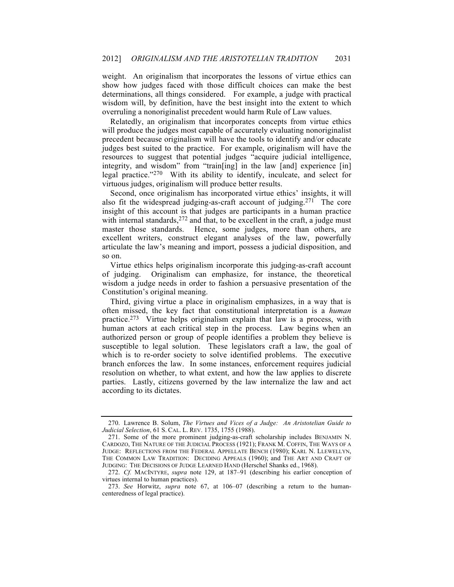weight. An originalism that incorporates the lessons of virtue ethics can show how judges faced with those difficult choices can make the best determinations, all things considered. For example, a judge with practical wisdom will, by definition, have the best insight into the extent to which overruling a nonoriginalist precedent would harm Rule of Law values.

Relatedly, an originalism that incorporates concepts from virtue ethics will produce the judges most capable of accurately evaluating nonoriginalist precedent because originalism will have the tools to identify and/or educate judges best suited to the practice. For example, originalism will have the resources to suggest that potential judges "acquire judicial intelligence, integrity, and wisdom" from "train[ing] in the law [and] experience [in] legal practice."270 With its ability to identify, inculcate, and select for virtuous judges, originalism will produce better results.

Second, once originalism has incorporated virtue ethics' insights, it will also fit the widespread judging-as-craft account of judging.271 The core insight of this account is that judges are participants in a human practice with internal standards, $272$  and that, to be excellent in the craft, a judge must master those standards. Hence, some judges, more than others, are excellent writers, construct elegant analyses of the law, powerfully articulate the law's meaning and import, possess a judicial disposition, and so on.

Virtue ethics helps originalism incorporate this judging-as-craft account of judging. Originalism can emphasize, for instance, the theoretical wisdom a judge needs in order to fashion a persuasive presentation of the Constitution's original meaning.

Third, giving virtue a place in originalism emphasizes, in a way that is often missed, the key fact that constitutional interpretation is a *human* practice.273 Virtue helps originalism explain that law is a process, with human actors at each critical step in the process. Law begins when an authorized person or group of people identifies a problem they believe is susceptible to legal solution. These legislators craft a law, the goal of which is to re-order society to solve identified problems. The executive branch enforces the law. In some instances, enforcement requires judicial resolution on whether, to what extent, and how the law applies to discrete parties. Lastly, citizens governed by the law internalize the law and act according to its dictates.

<sup>270.</sup> Lawrence B. Solum, *The Virtues and Vices of a Judge: An Aristotelian Guide to Judicial Selection*, 61 S. CAL. L. REV. 1735, 1755 (1988).

<sup>271.</sup> Some of the more prominent judging-as-craft scholarship includes BENJAMIN N. CARDOZO, THE NATURE OF THE JUDICIAL PROCESS (1921); FRANK M. COFFIN, THE WAYS OF A JUDGE: REFLECTIONS FROM THE FEDERAL APPELLATE BENCH (1980); KARL N. LLEWELLYN, THE COMMON LAW TRADITION: DECIDING APPEALS (1960); and THE ART AND CRAFT OF JUDGING: THE DECISIONS OF JUDGE LEARNED HAND (Herschel Shanks ed., 1968).

<sup>272.</sup> *Cf.* MACINTYRE, *supra* note 129, at 187–91 (describing his earlier conception of virtues internal to human practices).

<sup>273.</sup> *See* Horwitz, *supra* note 67, at 106–07 (describing a return to the humancenteredness of legal practice).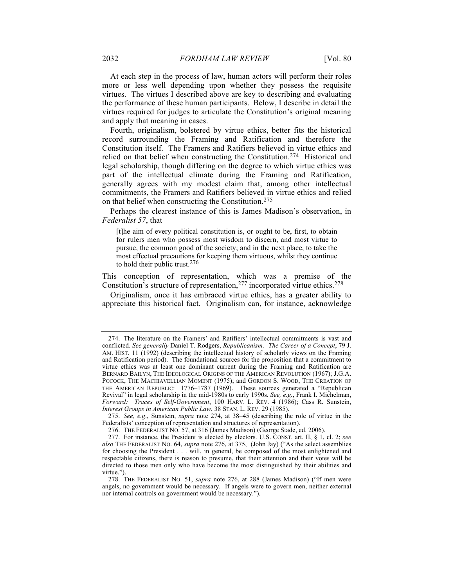At each step in the process of law, human actors will perform their roles more or less well depending upon whether they possess the requisite virtues. The virtues I described above are key to describing and evaluating the performance of these human participants. Below, I describe in detail the virtues required for judges to articulate the Constitution's original meaning and apply that meaning in cases.

Fourth, originalism, bolstered by virtue ethics, better fits the historical record surrounding the Framing and Ratification and therefore the Constitution itself. The Framers and Ratifiers believed in virtue ethics and relied on that belief when constructing the Constitution.274 Historical and legal scholarship, though differing on the degree to which virtue ethics was part of the intellectual climate during the Framing and Ratification, generally agrees with my modest claim that, among other intellectual commitments, the Framers and Ratifiers believed in virtue ethics and relied on that belief when constructing the Constitution.275

Perhaps the clearest instance of this is James Madison's observation, in *Federalist 57*, that

[t]he aim of every political constitution is, or ought to be, first, to obtain for rulers men who possess most wisdom to discern, and most virtue to pursue, the common good of the society; and in the next place, to take the most effectual precautions for keeping them virtuous, whilst they continue to hold their public trust.276

This conception of representation, which was a premise of the Constitution's structure of representation,277 incorporated virtue ethics.278

Originalism, once it has embraced virtue ethics, has a greater ability to appreciate this historical fact. Originalism can, for instance, acknowledge

<sup>274.</sup> The literature on the Framers' and Ratifiers' intellectual commitments is vast and conflicted. *See generally* Daniel T. Rodgers, *Republicanism: The Career of a Concept*, 79 J. AM. HIST. 11 (1992) (describing the intellectual history of scholarly views on the Framing and Ratification period). The foundational sources for the proposition that a commitment to virtue ethics was at least one dominant current during the Framing and Ratification are BERNARD BAILYN, THE IDEOLOGICAL ORIGINS OF THE AMERICAN REVOLUTION (1967); J.G.A. POCOCK, THE MACHIAVELLIAN MOMENT (1975); and GORDON S. WOOD, THE CREATION OF THE AMERICAN REPUBLIC: 1776–1787 (1969). These sources generated a "Republican Revival" in legal scholarship in the mid-1980s to early 1990s. *See, e.g.*, Frank I. Michelman, *Forward: Traces of Self-Government*, 100 HARV. L. REV. 4 (1986); Cass R. Sunstein, *Interest Groups in American Public Law*, 38 STAN. L. REV. 29 (1985).

<sup>275.</sup> *See, e.g*., Sunstein, *supra* note 274, at 38–45 (describing the role of virtue in the Federalists' conception of representation and structures of representation).

<sup>276.</sup> THE FEDERALIST NO. 57, at 316 (James Madison) (George Stade, ed. 2006).

<sup>277.</sup> For instance, the President is elected by electors. U.S. CONST. art. II, § 1, cl. 2; *see also* THE FEDERALIST NO. 64, *supra* note 276, at 375, (John Jay) ("As the select assemblies for choosing the President . . . will, in general, be composed of the most enlightened and respectable citizens, there is reason to presume, that their attention and their votes will be directed to those men only who have become the most distinguished by their abilities and virtue.").

<sup>278.</sup> THE FEDERALIST NO. 51, *supra* note 276, at 288 (James Madison) ("If men were angels, no government would be necessary. If angels were to govern men, neither external nor internal controls on government would be necessary.").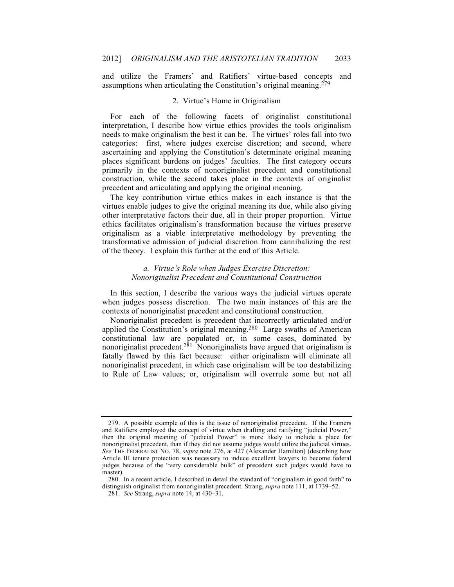and utilize the Framers' and Ratifiers' virtue-based concepts and assumptions when articulating the Constitution's original meaning.<sup>279</sup>

## 2. Virtue's Home in Originalism

For each of the following facets of originalist constitutional interpretation, I describe how virtue ethics provides the tools originalism needs to make originalism the best it can be. The virtues' roles fall into two categories: first, where judges exercise discretion; and second, where ascertaining and applying the Constitution's determinate original meaning places significant burdens on judges' faculties. The first category occurs primarily in the contexts of nonoriginalist precedent and constitutional construction, while the second takes place in the contexts of originalist precedent and articulating and applying the original meaning.

The key contribution virtue ethics makes in each instance is that the virtues enable judges to give the original meaning its due, while also giving other interpretative factors their due, all in their proper proportion. Virtue ethics facilitates originalism's transformation because the virtues preserve originalism as a viable interpretative methodology by preventing the transformative admission of judicial discretion from cannibalizing the rest of the theory. I explain this further at the end of this Article.

# *a. Virtue's Role when Judges Exercise Discretion: Nonoriginalist Precedent and Constitutional Construction*

In this section, I describe the various ways the judicial virtues operate when judges possess discretion. The two main instances of this are the contexts of nonoriginalist precedent and constitutional construction.

Nonoriginalist precedent is precedent that incorrectly articulated and/or applied the Constitution's original meaning.<sup>280</sup> Large swaths of American constitutional law are populated or, in some cases, dominated by nonoriginalist precedent.<sup>281</sup> Nonoriginalists have argued that originalism is fatally flawed by this fact because: either originalism will eliminate all nonoriginalist precedent, in which case originalism will be too destabilizing to Rule of Law values; or, originalism will overrule some but not all

<sup>279.</sup> A possible example of this is the issue of nonoriginalist precedent. If the Framers and Ratifiers employed the concept of virtue when drafting and ratifying "judicial Power," then the original meaning of "judicial Power" is more likely to include a place for nonoriginalist precedent, than if they did not assume judges would utilize the judicial virtues. *See* THE FEDERALIST NO. 78, *supra* note 276, at 427 (Alexander Hamilton) (describing how Article III tenure protection was necessary to induce excellent lawyers to become federal judges because of the "very considerable bulk" of precedent such judges would have to master).

<sup>280.</sup> In a recent article, I described in detail the standard of "originalism in good faith" to distinguish originalist from nonoriginalist precedent. Strang, *supra* note 111, at 1739–52.

<sup>281.</sup> *See* Strang, *supra* note 14, at 430–31.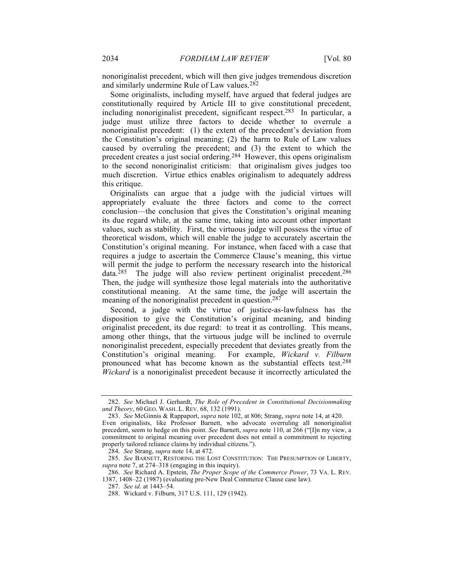nonoriginalist precedent, which will then give judges tremendous discretion and similarly undermine Rule of Law values.282

Some originalists, including myself, have argued that federal judges are constitutionally required by Article III to give constitutional precedent, including nonoriginalist precedent, significant respect.283 In particular, a judge must utilize three factors to decide whether to overrule a nonoriginalist precedent: (1) the extent of the precedent's deviation from the Constitution's original meaning; (2) the harm to Rule of Law values caused by overruling the precedent; and (3) the extent to which the precedent creates a just social ordering.284 However, this opens originalism to the second nonoriginalist criticism: that originalism gives judges too much discretion. Virtue ethics enables originalism to adequately address this critique.

Originalists can argue that a judge with the judicial virtues will appropriately evaluate the three factors and come to the correct conclusion—the conclusion that gives the Constitution's original meaning its due regard while, at the same time, taking into account other important values, such as stability. First, the virtuous judge will possess the virtue of theoretical wisdom, which will enable the judge to accurately ascertain the Constitution's original meaning. For instance, when faced with a case that requires a judge to ascertain the Commerce Clause's meaning, this virtue will permit the judge to perform the necessary research into the historical data. $285$  The judge will also review pertinent originalist precedent. $286$ Then, the judge will synthesize those legal materials into the authoritative constitutional meaning. At the same time, the judge will ascertain the meaning of the nonoriginalist precedent in question.<sup>287</sup>

Second, a judge with the virtue of justice-as-lawfulness has the disposition to give the Constitution's original meaning, and binding originalist precedent, its due regard: to treat it as controlling. This means, among other things, that the virtuous judge will be inclined to overrule nonoriginalist precedent, especially precedent that deviates greatly from the Constitution's original meaning. For example, *Wickard v. Filburn* pronounced what has become known as the substantial effects test.288 *Wickard* is a nonoriginalist precedent because it incorrectly articulated the

<sup>282.</sup> *See* Michael J. Gerhardt, *The Role of Precedent in Constitutional Decisionmaking and Theory*, 60 GEO. WASH. L. REV. 68, 132 (1991).

<sup>283.</sup> *See* McGinnis & Rappaport, *supra* note 102, at 806; Strang, *supra* note 14, at 420. Even originalists, like Professor Barnett, who advocate overruling all nonoriginalist

precedent, seem to hedge on this point. *See* Barnett, *supra* note 110, at 266 ("[I]n my view, a commitment to original meaning over precedent does not entail a commitment to rejecting properly tailored reliance claims by individual citizens.").

<sup>284.</sup> *See* Strang, *supra* note 14, at 472.

<sup>285.</sup> *See* BARNETT, RESTORING THE LOST CONSTITUTION: THE PRESUMPTION OF LIBERTY, *supra* note 7, at 274–318 (engaging in this inquiry).

<sup>286.</sup> *See* Richard A. Epstein, *The Proper Scope of the Commerce Power*, 73 VA. L. REV. 1387, 1408–22 (1987) (evaluating pre-New Deal Commerce Clause case law).

<sup>287.</sup> *See id*. at 1443–54.

<sup>288.</sup> Wickard v. Filburn, 317 U.S. 111, 129 (1942).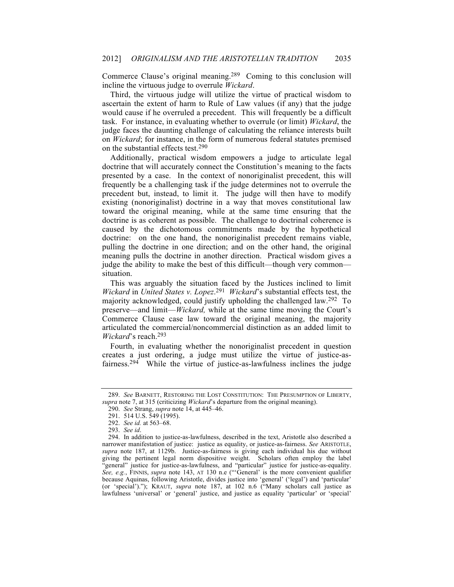Commerce Clause's original meaning.289 Coming to this conclusion will incline the virtuous judge to overrule *Wickard*.

Third, the virtuous judge will utilize the virtue of practical wisdom to ascertain the extent of harm to Rule of Law values (if any) that the judge would cause if he overruled a precedent. This will frequently be a difficult task. For instance, in evaluating whether to overrule (or limit) *Wickard*, the judge faces the daunting challenge of calculating the reliance interests built on *Wickard*; for instance, in the form of numerous federal statutes premised on the substantial effects test.290

Additionally, practical wisdom empowers a judge to articulate legal doctrine that will accurately connect the Constitution's meaning to the facts presented by a case. In the context of nonoriginalist precedent, this will frequently be a challenging task if the judge determines not to overrule the precedent but, instead, to limit it. The judge will then have to modify existing (nonoriginalist) doctrine in a way that moves constitutional law toward the original meaning, while at the same time ensuring that the doctrine is as coherent as possible. The challenge to doctrinal coherence is caused by the dichotomous commitments made by the hypothetical doctrine: on the one hand, the nonoriginalist precedent remains viable, pulling the doctrine in one direction; and on the other hand, the original meaning pulls the doctrine in another direction. Practical wisdom gives a judge the ability to make the best of this difficult—though very common situation.

This was arguably the situation faced by the Justices inclined to limit *Wickard* in *United States v. Lopez*. 291 *Wickard*'s substantial effects test, the majority acknowledged, could justify upholding the challenged law.292 To preserve—and limit—*Wickard,* while at the same time moving the Court's Commerce Clause case law toward the original meaning, the majority articulated the commercial/noncommercial distinction as an added limit to *Wickard*'s reach.293

Fourth, in evaluating whether the nonoriginalist precedent in question creates a just ordering, a judge must utilize the virtue of justice-asfairness.<sup>294</sup> While the virtue of justice-as-lawfulness inclines the judge

<sup>289.</sup> *See* BARNETT, RESTORING THE LOST CONSTITUTION: THE PRESUMPTION OF LIBERTY, *supra* note 7, at 315 (criticizing *Wickard*'s departure from the original meaning).

<sup>290.</sup> *See* Strang, *supra* note 14, at 445–46.

<sup>291.</sup> 514 U.S. 549 (1995).

<sup>292.</sup> *See id.* at 563–68.

<sup>293.</sup> *See id*.

<sup>294.</sup> In addition to justice-as-lawfulness, described in the text, Aristotle also described a narrower manifestation of justice: justice as equality, or justice-as-fairness. *See* ARISTOTLE, *supra* note 187, at 1129b. Justice-as-fairness is giving each individual his due without giving the pertinent legal norm dispositive weight. Scholars often employ the label "general" justice for justice-as-lawfulness, and "particular" justice for justice-as-equality. *See, e.g.*, FINNIS, *supra* note 143, AT 130 n.e ("'General' is the more convenient qualifier because Aquinas, following Aristotle, divides justice into 'general' ('legal') and 'particular' (or 'special')."); KRAUT, *supra* note 187, at 102 n.6 ("Many scholars call justice as lawfulness 'universal' or 'general' justice, and justice as equality 'particular' or 'special'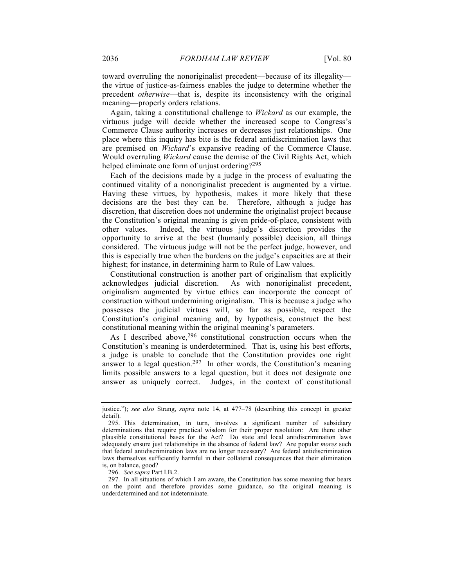toward overruling the nonoriginalist precedent—because of its illegality the virtue of justice-as-fairness enables the judge to determine whether the precedent *otherwise*—that is, despite its inconsistency with the original meaning—properly orders relations.

Again, taking a constitutional challenge to *Wickard* as our example, the virtuous judge will decide whether the increased scope to Congress's Commerce Clause authority increases or decreases just relationships. One place where this inquiry has bite is the federal antidiscrimination laws that are premised on *Wickard*'s expansive reading of the Commerce Clause. Would overruling *Wickard* cause the demise of the Civil Rights Act, which helped eliminate one form of unjust ordering?<sup>295</sup>

Each of the decisions made by a judge in the process of evaluating the continued vitality of a nonoriginalist precedent is augmented by a virtue. Having these virtues, by hypothesis, makes it more likely that these decisions are the best they can be. Therefore, although a judge has discretion, that discretion does not undermine the originalist project because the Constitution's original meaning is given pride-of-place, consistent with other values. Indeed, the virtuous judge's discretion provides the opportunity to arrive at the best (humanly possible) decision, all things considered. The virtuous judge will not be the perfect judge, however, and this is especially true when the burdens on the judge's capacities are at their highest; for instance, in determining harm to Rule of Law values.

Constitutional construction is another part of originalism that explicitly acknowledges judicial discretion. As with nonoriginalist precedent, originalism augmented by virtue ethics can incorporate the concept of construction without undermining originalism. This is because a judge who possesses the judicial virtues will, so far as possible, respect the Constitution's original meaning and, by hypothesis, construct the best constitutional meaning within the original meaning's parameters.

As I described above,  $296$  constitutional construction occurs when the Constitution's meaning is underdetermined. That is, using his best efforts, a judge is unable to conclude that the Constitution provides one right answer to a legal question.<sup>297</sup> In other words, the Constitution's meaning limits possible answers to a legal question, but it does not designate one answer as uniquely correct. Judges, in the context of constitutional

296. *See supra* Part I.B.2.

justice."); *see also* Strang, *supra* note 14, at 477–78 (describing this concept in greater detail).

<sup>295.</sup> This determination, in turn, involves a significant number of subsidiary determinations that require practical wisdom for their proper resolution: Are there other plausible constitutional bases for the Act? Do state and local antidiscrimination laws adequately ensure just relationships in the absence of federal law? Are popular *mores* such that federal antidiscrimination laws are no longer necessary? Are federal antidiscrimination laws themselves sufficiently harmful in their collateral consequences that their elimination is, on balance, good?

<sup>297.</sup> In all situations of which I am aware, the Constitution has some meaning that bears on the point and therefore provides some guidance, so the original meaning is underdetermined and not indeterminate.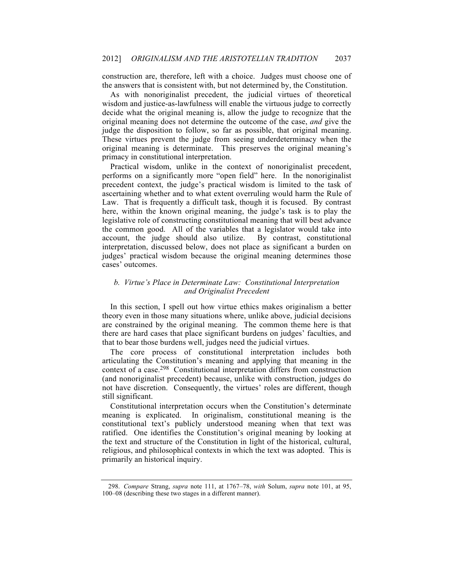construction are, therefore, left with a choice. Judges must choose one of the answers that is consistent with, but not determined by, the Constitution.

As with nonoriginalist precedent, the judicial virtues of theoretical wisdom and justice-as-lawfulness will enable the virtuous judge to correctly decide what the original meaning is, allow the judge to recognize that the original meaning does not determine the outcome of the case, *and* give the judge the disposition to follow, so far as possible, that original meaning. These virtues prevent the judge from seeing underdeterminacy when the original meaning is determinate. This preserves the original meaning's primacy in constitutional interpretation.

Practical wisdom, unlike in the context of nonoriginalist precedent, performs on a significantly more "open field" here. In the nonoriginalist precedent context, the judge's practical wisdom is limited to the task of ascertaining whether and to what extent overruling would harm the Rule of Law. That is frequently a difficult task, though it is focused. By contrast here, within the known original meaning, the judge's task is to play the legislative role of constructing constitutional meaning that will best advance the common good. All of the variables that a legislator would take into account, the judge should also utilize. By contrast, constitutional interpretation, discussed below, does not place as significant a burden on judges' practical wisdom because the original meaning determines those cases' outcomes.

# *b. Virtue's Place in Determinate Law: Constitutional Interpretation and Originalist Precedent*

In this section, I spell out how virtue ethics makes originalism a better theory even in those many situations where, unlike above, judicial decisions are constrained by the original meaning. The common theme here is that there are hard cases that place significant burdens on judges' faculties, and that to bear those burdens well, judges need the judicial virtues.

The core process of constitutional interpretation includes both articulating the Constitution's meaning and applying that meaning in the context of a case.298 Constitutional interpretation differs from construction (and nonoriginalist precedent) because, unlike with construction, judges do not have discretion. Consequently, the virtues' roles are different, though still significant.

Constitutional interpretation occurs when the Constitution's determinate meaning is explicated. In originalism, constitutional meaning is the constitutional text's publicly understood meaning when that text was ratified. One identifies the Constitution's original meaning by looking at the text and structure of the Constitution in light of the historical, cultural, religious, and philosophical contexts in which the text was adopted. This is primarily an historical inquiry.

<sup>298.</sup> *Compare* Strang, *supra* note 111, at 1767–78, *with* Solum, *supra* note 101, at 95, 100–08 (describing these two stages in a different manner).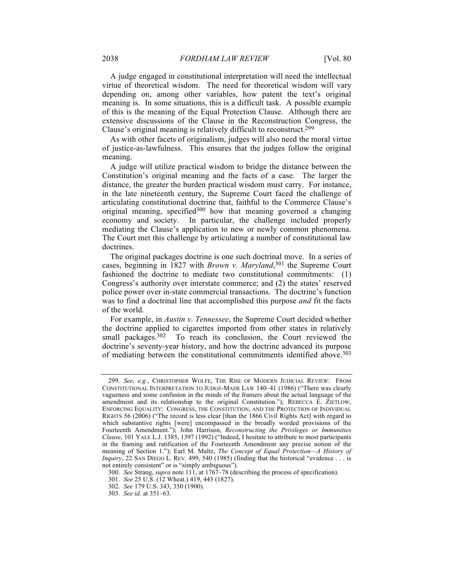A judge engaged in constitutional interpretation will need the intellectual virtue of theoretical wisdom. The need for theoretical wisdom will vary depending on, among other variables, how patent the text's original meaning is. In some situations, this is a difficult task. A possible example of this is the meaning of the Equal Protection Clause. Although there are extensive discussions of the Clause in the Reconstruction Congress, the Clause's original meaning is relatively difficult to reconstruct.299

As with other facets of originalism, judges will also need the moral virtue of justice-as-lawfulness. This ensures that the judges follow the original meaning.

A judge will utilize practical wisdom to bridge the distance between the Constitution's original meaning and the facts of a case. The larger the distance, the greater the burden practical wisdom must carry. For instance, in the late nineteenth century, the Supreme Court faced the challenge of articulating constitutional doctrine that, faithful to the Commerce Clause's original meaning, specified<sup>300</sup> how that meaning governed a changing economy and society. In particular, the challenge included properly mediating the Clause's application to new or newly common phenomena. The Court met this challenge by articulating a number of constitutional law doctrines.

The original packages doctrine is one such doctrinal move. In a series of cases, beginning in 1827 with *Brown v. Maryland*, <sup>301</sup> the Supreme Court fashioned the doctrine to mediate two constitutional commitments: (1) Congress's authority over interstate commerce; and (2) the states' reserved police power over in-state commercial transactions. The doctrine's function was to find a doctrinal line that accomplished this purpose *and* fit the facts of the world.

For example, in *Austin v. Tennessee*, the Supreme Court decided whether the doctrine applied to cigarettes imported from other states in relatively small packages.<sup>302</sup> To reach its conclusion, the Court reviewed the doctrine's seventy-year history, and how the doctrine advanced its purpose of mediating between the constitutional commitments identified above.<sup>303</sup>

<sup>299.</sup> *See, e.g.*, CHRISTOPHER WOLFE, THE RISE OF MODERN JUDICIAL REVIEW: FROM CONSTITUTIONAL INTERPRETATION TO JUDGE-MADE LAW 140–41 (1986) ("There was clearly vagueness and some confusion in the minds of the framers about the actual language of the amendment and its relationship to the original Constitution."); REBECCA E. ZIETLOW, ENFORCING EQUALITY: CONGRESS, THE CONSTITUTION, AND THE PROTECTION OF INDIVIDUAL RIGHTS 56 (2006) ("The record is less clear [than the 1866 Civil Rights Act] with regard to which substantive rights [were] encompassed in the broadly worded provisions of the Fourteenth Amendment."); John Harrison, *Reconstructing the Privileges or Immunities Clause*, 101 YALE L.J. 1385, 1397 (1992) ("Indeed, I hesitate to attribute to most participants in the framing and ratification of the Fourteenth Amendment any precise notion of the meaning of Section 1."); Earl M. Maltz, *The Concept of Equal Protection—A History of Inquiry*, 22 SAN DIEGO L. REV. 499, 540 (1985) (finding that the historical "evidence . . . is not entirely consistent" or is "simply ambiguous").

<sup>300.</sup> *See* Strang, *supra* note 111, at 1767–78 (describing the process of specification).

<sup>301.</sup> *See* 25 U.S. (12 Wheat.) 419, 443 (1827).

<sup>302.</sup> *See* 179 U.S. 343, 350 (1900).

<sup>303.</sup> *See id*. at 351–63.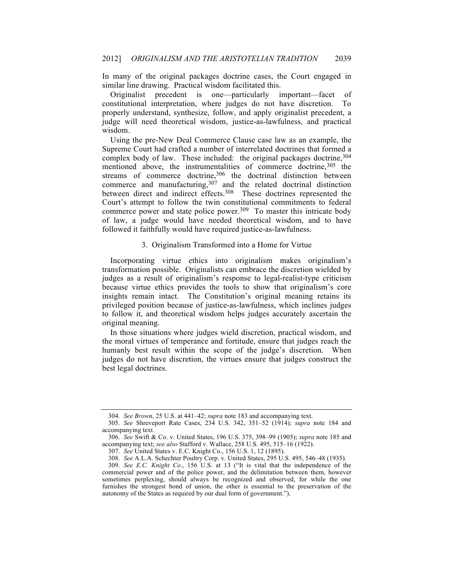In many of the original packages doctrine cases, the Court engaged in similar line drawing. Practical wisdom facilitated this.

Originalist precedent is one—particularly important—facet of constitutional interpretation, where judges do not have discretion. To properly understand, synthesize, follow, and apply originalist precedent, a judge will need theoretical wisdom, justice-as-lawfulness, and practical wisdom.

Using the pre-New Deal Commerce Clause case law as an example, the Supreme Court had crafted a number of interrelated doctrines that formed a complex body of law. These included: the original packages doctrine,  $304$ mentioned above, the instrumentalities of commerce doctrine,<sup>305</sup> the streams of commerce doctrine,  $306$  the doctrinal distinction between commerce and manufacturing,  $307$  and the related doctrinal distinction between direct and indirect effects.308 These doctrines represented the Court's attempt to follow the twin constitutional commitments to federal commerce power and state police power.<sup>309</sup> To master this intricate body of law, a judge would have needed theoretical wisdom, and to have followed it faithfully would have required justice-as-lawfulness.

### 3. Originalism Transformed into a Home for Virtue

Incorporating virtue ethics into originalism makes originalism's transformation possible. Originalists can embrace the discretion wielded by judges as a result of originalism's response to legal-realist-type criticism because virtue ethics provides the tools to show that originalism's core insights remain intact. The Constitution's original meaning retains its privileged position because of justice-as-lawfulness, which inclines judges to follow it, and theoretical wisdom helps judges accurately ascertain the original meaning.

In those situations where judges wield discretion, practical wisdom, and the moral virtues of temperance and fortitude, ensure that judges reach the humanly best result within the scope of the judge's discretion. When judges do not have discretion, the virtues ensure that judges construct the best legal doctrines.

<sup>304.</sup> *See Brown*, 25 U.S. at 441–42; *supra* note 183 and accompanying text.

<sup>305.</sup> *See* Shreveport Rate Cases, 234 U.S. 342, 351–52 (1914); *supra* note 184 and accompanying text.

<sup>306.</sup> *See* Swift & Co. v. United States, 196 U.S. 375, 398–99 (1905); *supra* note 185 and accompanying text; *see also* Stafford v. Wallace, 258 U.S. 495, 515–16 (1922).

<sup>307.</sup> *See* United States v. E.C. Knight Co., 156 U.S. 1, 12 (1895).

<sup>308.</sup> *See* A.L.A. Schechter Poultry Corp. v. United States, 295 U.S. 495, 546–48 (1935).

<sup>309.</sup> *See E.C. Knight Co*., 156 U.S. at 13 ("It is vital that the independence of the commercial power and of the police power, and the delimitation between them, however sometimes perplexing, should always be recognized and observed, for while the one furnishes the strongest bond of union, the other is essential to the preservation of the autonomy of the States as required by our dual form of government.").